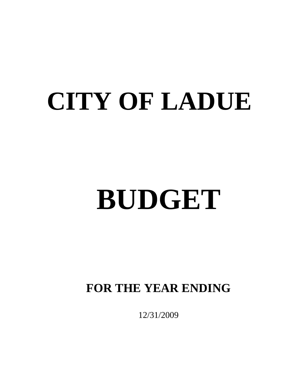## **CITY OF LADUE**

# **BUDGET**

## **FOR THE YEAR ENDING**

12/31/2009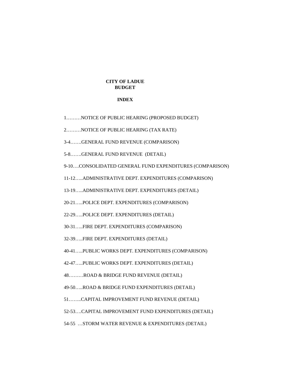### **CITY OF LADUE BUDGET**

#### **INDEX**

1………NOTICE OF PUBLIC HEARING (PROPOSED BUDGET)

2………NOTICE OF PUBLIC HEARING (TAX RATE)

3-4…….GENERAL FUND REVENUE (COMPARISON)

5-8…….GENERAL FUND REVENUE (DETAIL)

9-10….CONSOLIDATED GENERAL FUND EXPENDITURES (COMPARISON)

11-12…..ADMINISTRATIVE DEPT. EXPENDITURES (COMPARISON)

13-19…..ADMINISTRATIVE DEPT. EXPENDITURES (DETAIL)

20-21…..POLICE DEPT. EXPENDITURES (COMPARISON)

22-29…..POLICE DEPT. EXPENDITURES (DETAIL)

30-31…..FIRE DEPT. EXPENDITURES (COMPARISON)

32-39…..FIRE DEPT. EXPENDITURES (DETAIL)

40-41…..PUBLIC WORKS DEPT. EXPENDITURES (COMPARISON)

42-47…..PUBLIC WORKS DEPT. EXPENDITURES (DETAIL)

48………ROAD & BRIDGE FUND REVENUE (DETAIL)

49-50…..ROAD & BRIDGE FUND EXPENDITURES (DETAIL)

51……..CAPITAL IMPROVEMENT FUND REVENUE (DETAIL)

52-53….CAPITAL IMPROVEMENT FUND EXPENDITURES (DETAIL)

54-55 …STORM WATER REVENUE & EXPENDITURES (DETAIL)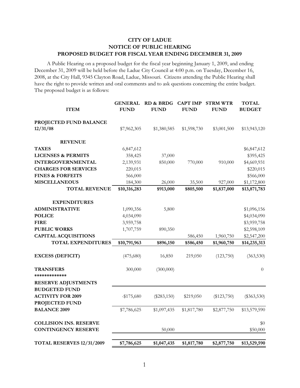## **CITY OF LADUE NOTICE OF PUBLIC HEARING PROPOSED BUDGET FOR FISCAL YEAR ENDING DECEMBER 31, 2009**

 A Public Hearing on a proposed budget for the fiscal year beginning January 1, 2009, and ending December 31, 2009 will be held before the Ladue City Council at 4:00 p.m. on Tuesday, December 16, 2008, at the City Hall, 9345 Clayton Road, Ladue, Missouri. Citizens attending the Public Hearing shall have the right to provide written and oral comments and to ask questions concerning the entire budget. The proposed budget is as follows:

| <b>ITEM</b>                       | <b>GENERAL</b><br><b>FUND</b> | <b>RD &amp; BRDG</b><br><b>FUND</b> | <b>CAPT IMP</b><br><b>FUND</b> | <b>STRM WTR</b><br><b>FUND</b> | <b>TOTAL</b><br><b>BUDGET</b> |
|-----------------------------------|-------------------------------|-------------------------------------|--------------------------------|--------------------------------|-------------------------------|
| PROJECTED FUND BALANCE            |                               |                                     |                                |                                |                               |
| 12/31/08                          | \$7,962,305                   | \$1,380,585                         | \$1,598,730                    | \$3,001,500                    | \$13,943,120                  |
| <b>REVENUE</b>                    |                               |                                     |                                |                                |                               |
| <b>TAXES</b>                      | 6,847,612                     |                                     |                                |                                | \$6,847,612                   |
| <b>LICENSES &amp; PERMITS</b>     | 358,425                       | 37,000                              |                                |                                | \$395,425                     |
| <b>INTERGOVERNMENTAL</b>          | 2,139,931                     | 850,000                             | 770,000                        | 910,000                        | \$4,669,931                   |
| <b>CHARGES FOR SERVICES</b>       | 220,015                       |                                     |                                |                                | \$220,015                     |
| <b>FINES &amp; FORFEITS</b>       | 566,000                       |                                     |                                |                                | \$566,000                     |
| <b>MISCELLANEOUS</b>              | 184,300                       | 26,000                              | 35,500                         | 927,000                        | \$1,172,800                   |
| <b>TOTAL REVENUE</b>              | \$10,316,283                  | \$913,000                           | \$805,500                      | \$1,837,000                    | \$13,871,783                  |
| <b>EXPENDITURES</b>               |                               |                                     |                                |                                |                               |
| <b>ADMINISTRATIVE</b>             | 1,090,356                     | 5,800                               |                                |                                | \$1,096,156                   |
| <b>POLICE</b>                     | 4,034,090                     |                                     |                                |                                | \$4,034,090                   |
| <b>FIRE</b>                       | 3,959,758                     |                                     |                                |                                | \$3,959,758                   |
| <b>PUBLIC WORKS</b>               | 1,707,759                     | 890,350                             |                                |                                | \$2,598,109                   |
| <b>CAPITAL ACQUISITIONS</b>       |                               |                                     | 586,450                        | 1,960,750                      | \$2,547,200                   |
| TOTAL EXPENDITURES                | \$10,791,963                  | \$896,150                           | \$586,450                      | \$1,960,750                    | \$14,235,313                  |
| <b>EXCESS (DEFICIT)</b>           | (475,680)                     | 16,850                              | 219,050                        | (123,750)                      | (363, 530)                    |
| <b>TRANSFERS</b><br>************* | 300,000                       | (300,000)                           |                                |                                | $\theta$                      |
| <b>RESERVE ADJUSTMENTS</b>        |                               |                                     |                                |                                |                               |
| <b>BUDGETED FUND</b>              |                               |                                     |                                |                                |                               |
| <b>ACTIVITY FOR 2009</b>          | $-$ \$175,680                 | $(\$283,150)$                       | \$219,050                      | $(\$123,750)$                  | $(\$363,530)$                 |
| <b>PROJECTED FUND</b>             |                               |                                     |                                |                                |                               |
| <b>BALANCE 2009</b>               | \$7,786,625                   | \$1,097,435                         | \$1,817,780                    | \$2,877,750                    | \$13,579,590                  |
| <b>COLLISION INS. RESERVE</b>     |                               |                                     |                                |                                | \$0                           |
| <b>CONTINGENCY RESERVE</b>        |                               | 50,000                              |                                |                                | \$50,000                      |
| TOTAL RESERVES 12/31/2009         | \$7,786,625                   | \$1,047,435                         | \$1,817,780                    | \$2,877,750                    | \$13,529,590                  |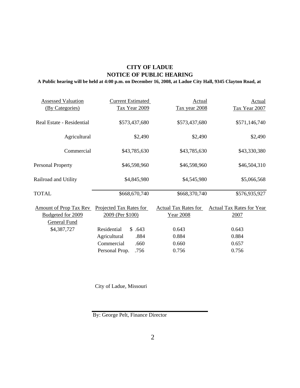## **CITY OF LADUE NOTICE OF PUBLIC HEARING**

## **A Public hearing will be held at 4:00 p.m. on December 16, 2008, at Ladue City Hall, 9345 Clayton Road, at**

| <b>Assessed Valuation</b>     | <b>Current Estimated</b> | Actual                      | <b>Actual</b>                    |
|-------------------------------|--------------------------|-----------------------------|----------------------------------|
| (By Categories)               | Tax Year 2009            | Tax year 2008               | Tax Year 2007                    |
|                               |                          |                             |                                  |
| Real Estate - Residential     | \$573,437,680            | \$573,437,680               | \$571,146,740                    |
| Agricultural                  | \$2,490                  | \$2,490                     | \$2,490                          |
|                               |                          |                             |                                  |
| Commercial                    | \$43,785,630             | \$43,785,630                | \$43,330,380                     |
| <b>Personal Property</b>      | \$46,598,960             | \$46,598,960                | \$46,504,310                     |
|                               |                          |                             |                                  |
| Railroad and Utility          | \$4,845,980              | \$4,545,980                 | \$5,066,568                      |
| TOTAL                         | \$668,670,740            | \$668,370,740               | \$576,935,927                    |
| <b>Amount of Prop Tax Rev</b> | Projected Tax Rates for  | <b>Actual Tax Rates for</b> | <b>Actual Tax Rates for Year</b> |
| Budgeted for 2009             | 2009 (Per \$100)         | <u>Year 2008</u>            | 2007                             |
| <b>General Fund</b>           |                          |                             |                                  |
| \$4,387,727                   | Residential<br>\$.643    | 0.643                       | 0.643                            |
|                               | Agricultural<br>.884     | 0.884                       | 0.884                            |
|                               | Commercial<br>.660       | 0.660                       | 0.657                            |
|                               | Personal Prop.<br>.756   | 0.756                       | 0.756                            |
|                               |                          |                             |                                  |

City of Ladue, Missouri

By: George Pelt, Finance Director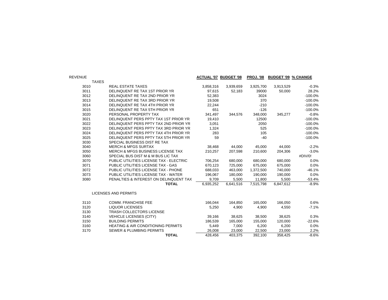| <b>REVENUE</b> |                                               |           | <b>ACTUAL '07 BUDGET '08</b> | <b>PROJ. '08</b> | <b>BUDGET '09 % CHANGE</b> |           |
|----------------|-----------------------------------------------|-----------|------------------------------|------------------|----------------------------|-----------|
| <b>TAXES</b>   |                                               |           |                              |                  |                            |           |
| 3010           | <b>REAL ESTATE TAXES</b>                      | 3,858,316 | 3,939,659                    | 3,925,700        | 3,913,529                  | $-0.3%$   |
| 3011           | DELINQUENT RE TAX 1ST PRIOR YR                | 97,615    | 52,183                       | 39000            | 50,000                     | 28.2%     |
| 3012           | DELINQUENT RE TAX 2ND PRIOR YR                | 52,383    |                              | 3024             |                            | $-100.0%$ |
| 3013           | DELINQUENT RE TAX 3RD PRIOR YR                | 19,508    |                              | 370              |                            | $-100.0%$ |
| 3014           | DELINQUENT RE TAX 4TH PRIOR YR                | 22.244    |                              | $-210$           |                            | $-100.0%$ |
| 3015           | DELINQUENT RE TAX 5TH PRIOR YR                | 651       |                              | $-126$           |                            | $-100.0%$ |
| 3020           | PERSONAL PROPERTY TAX                         | 341,497   | 344,576                      | 348,000          | 345,277                    | $-0.8%$   |
| 3021           | DELINQUENT PERS PPTY TAX 1ST PRIOR YR         | 19,410    |                              | 12500            |                            | $-100.0%$ |
| 3022           | DELINQUENT PERS PPTY TAX 2ND PRIOR YR         | 3,051     |                              | 2050             |                            | $-100.0%$ |
| 3023           | DELINQUENT PERS PPTY TAX 3RD PRIOR YR         | 1,324     |                              | 525              |                            | $-100.0%$ |
| 3024           | DELINQUENT PERS PPTY TAX 4TH PRIOR YR         | 283       |                              | 105              |                            | $-100.0%$ |
| 3025           | DELINQUENT PERS PPTY TAX 5TH PRIOR YR         | 59        |                              | $-40$            |                            | $-100.0%$ |
| 3030           | SPECIAL BUSINESS DIST RE TAX                  |           |                              |                  |                            |           |
| 3040           | <b>MERCH &amp; MFGS SURTAX</b>                | 38,468    | 44,000                       | 45,000           | 44,000                     | $-2.2%$   |
| 3050           | <b>MERCH &amp; MFGS BUSINESS LICENSE TAX</b>  | 210.257   | 207,598                      | 210,600          | 204,306                    | $-3.0%$   |
| 3060           | SPECIAL BUS DIST M & M BUS LIC TAX            |           |                              |                  |                            | #DIV/0!   |
| 3070           | PUBLIC UTILITIES LICENSE TAX - ELECTRIC       | 706,254   | 680,000                      | 680,000          | 680,000                    | 0.0%      |
| 3071           | PUBLIC UTILITIES LICENSE TAX - GAS            | 670,123   | 725,000                      | 675,000          | 675,000                    | 0.0%      |
| 3072           | PUBLIC UTILITIES LICENSE TAX - PHONE          | 688,033   | 463,000                      | 1,372,500        | 740,000                    | $-46.1%$  |
| 3073           | PUBLIC UTILITIES LICENSE TAX - WATER          | 196,067   | 180,000                      | 190,000          | 190,000                    | 0.0%      |
| 3080           | PENALTIES & INTEREST ON DELINQUENT TAX        | 9,709     | 5,500                        | 11,800           | 5,500                      | $-53.4%$  |
|                | <b>TOTAL</b>                                  | 6,935,252 | 6,641,516                    | 7,515,798        | 6,847,612                  | $-8.9%$   |
|                | <b>LICENSES AND PERMITS</b>                   |           |                              |                  |                            |           |
| 3110           | <b>COMM. FRANCHISE FEE</b>                    | 166,044   | 164,850                      | 165,000          | 166,050                    | 0.6%      |
| 3120           | <b>LIQUOR LICENSES</b>                        | 5,250     | 4,900                        | 4,900            | 4,550                      | $-7.1%$   |
| 3130           | TRASH COLLECTORS LICENSE                      |           |                              |                  |                            |           |
| 3140           | <b>VEHICLE LICENSES (CITY)</b>                | 39,166    | 38,625                       | 38,500           | 38,625                     | 0.3%      |
| 3150           | <b>BUILDING PERMITS</b>                       | 186,539   | 165,000                      | 155,000          | 120,000                    | $-22.6%$  |
| 3160           | <b>HEATING &amp; AIR CONDITIONING PERMITS</b> | 5,449     | 7,000                        | 6,200            | 6,200                      | 0.0%      |
| 3170           | <b>SEWER &amp; PLUMBING PERMITS</b>           | 26,008    | 23,000                       | 22,500           | 23,000                     | 2.2%      |
|                | <b>TOTAL</b>                                  | 428,456   | 403,375                      | 392,100          | 358,425                    | $-8.6%$   |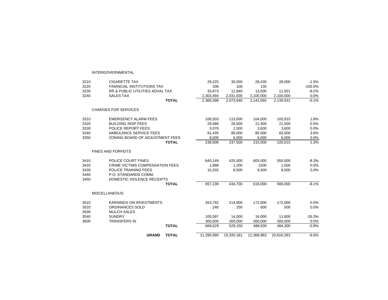#### INTERGOVERNMENTAL

| 3210 | <b>CIGARETTE TAX</b>                       | 29,225     | 30,000     | 28,430     | 28,000     | $-1.5%$   |
|------|--------------------------------------------|------------|------------|------------|------------|-----------|
| 3220 | <b>FINANCIAL INSTITUTIONS TAX</b>          | 206        | 100        | 135        |            | $-100.0%$ |
| 3230 | <b>RR &amp; PUBLIC UTILITIES ADVAL TAX</b> | 33,673     | 12,840     | 13,000     | 11,931     | $-8.2%$   |
| 3240 | <b>SALES TAX</b>                           | 2,303,494  | 2,031,000  | 2,100,000  | 2,100,000  | 0.0%      |
|      | <b>TOTAL</b>                               | 2,366,598  | 2,073,940  | 2,141,565  | 2,139,931  | $-0.1%$   |
|      | <b>CHARGES FOR SERVICES</b>                |            |            |            |            |           |
| 3310 | <b>EMERGENCY ALARM FEES</b>                | 106,503    | 113,000    | 104,000    | 105,915    | 1.8%      |
| 3320 | <b>BUILDING INSP FEES</b>                  | 29,486     | 28,000     | 21,400     | 21,500     | 0.5%      |
| 3330 | POLICE REPORT FEES                         | 3,076      | 2,500      | 3,600      | 3,600      | 0.0%      |
| 3340 | AMBULANCE SERVICE FEES                     | 91,435     | 88,000     | 80.000     | 83.000     | 3.8%      |
| 3350 | ZONING BOARD OF ADJUSTMENT FEES            | 8.006      | 6.000      | 6.000      | 6.000      | 0.0%      |
|      | <b>TOTAL</b>                               | 238,506    | 237,500    | 215,000    | 220,015    | 2.3%      |
|      | <b>FINES AND FORFEITS</b>                  |            |            |            |            |           |
| 3410 | POLICE COURT FINES                         | 645,149    | 425,000    | 605,000    | 555,000    | $-8.3%$   |
| 3420 | <b>CRIME VICTIMS COMPENSATION FEES</b>     | 1,888      | 1,200      | 1500       | 1,500      | 0.0%      |
| 3430 | POLICE TRAINING FEES                       | 10,202     | 8,500      | 9,500      | 9,500      | 0.0%      |
| 3440 | P.O. STANDARDS COMM.                       |            |            |            |            |           |
| 3450 | DOMESTIC VIOLENCE RECEIPTS                 |            |            |            |            |           |
|      | <b>TOTAL</b>                               | 657,239    | 434.700    | 616.000    | 566.000    | $-8.1%$   |
|      | <b>MISCELLANEOUS</b>                       |            |            |            |            |           |
| 3510 | <b>EARNINGS ON INVESTMENTS</b>             | 263,792    | 214,900    | 172,000    | 172,000    | 0.0%      |
| 3520 | ORDINANCES SOLD                            | 240        | 250        | 500        | 500        | 0.0%      |
| 3530 | <b>MULCH SALES</b>                         |            |            |            |            |           |
| 3540 | <b>SUNDRY</b>                              | 105,597    | 14,000     | 16,000     | 11,800     | $-26.3%$  |
| 3600 | <b>TRANSFERS IN</b>                        | 300,000    | 300,000    | 300,000    | 300,000    | 0.0%      |
|      | <b>TOTAL</b>                               | 669,629    | 529,150    | 488,500    | 484.300    | $-0.9%$   |
|      | <b>GRAND</b><br><b>TOTAL</b>               | 11,295,680 | 10.320.181 | 11,368,963 | 10,616,283 | $-6.6%$   |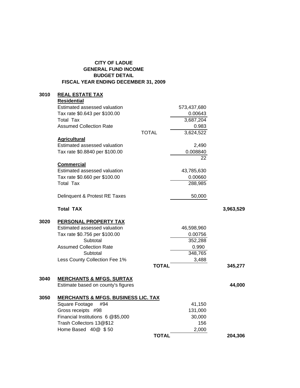## **CITY OF LADUE GENERAL FUND INCOME BUDGET DETAIL FISCAL YEAR ENDING DECEMBER 31, 2009**

## **3010 REAL ESTATE TAX**

|      | <b>Residential</b>                             |              |             |           |
|------|------------------------------------------------|--------------|-------------|-----------|
|      | Estimated assessed valuation                   |              | 573,437,680 |           |
|      | Tax rate \$0.643 per \$100.00                  |              | 0.00643     |           |
|      | <b>Total Tax</b>                               |              | 3,687,204   |           |
|      | <b>Assumed Collection Rate</b>                 |              | 0.983       |           |
|      |                                                | <b>TOTAL</b> | 3,624,522   |           |
|      | <b>Agricultural</b>                            |              |             |           |
|      | Estimated assessed valuation                   |              | 2,490       |           |
|      | Tax rate \$0.8840 per \$100.00                 |              | 0.008840    |           |
|      |                                                |              | 22          |           |
|      | <b>Commercial</b>                              |              |             |           |
|      | Estimated assessed valuation                   |              | 43,785,630  |           |
|      | Tax rate \$0.660 per \$100.00                  |              | 0.00660     |           |
|      | <b>Total Tax</b>                               |              | 288,985     |           |
|      |                                                |              |             |           |
|      | Delinquent & Protest RE Taxes                  |              | 50,000      |           |
|      |                                                |              |             |           |
|      | <b>Total TAX</b>                               |              |             | 3,963,529 |
|      |                                                |              |             |           |
| 3020 | <b>PERSONAL PROPERTY TAX</b>                   |              |             |           |
|      | Estimated assessed valuation                   |              | 46,598,960  |           |
|      | Tax rate \$0.756 per \$100.00                  |              | 0.00756     |           |
|      | Subtotal                                       |              | 352,288     |           |
|      | <b>Assumed Collection Rate</b>                 |              | 0.990       |           |
|      | Subtotal                                       |              | 348,765     |           |
|      | Less County Collection Fee 1%                  |              | 3,488       |           |
|      |                                                | <b>TOTAL</b> |             | 345,277   |
|      |                                                |              |             |           |
| 3040 | <b>MERCHANTS &amp; MFGS. SURTAX</b>            |              |             |           |
|      | Estimate based on county's figures             |              |             | 44,000    |
|      |                                                |              |             |           |
| 3050 | <b>MERCHANTS &amp; MFGS. BUSINESS LIC. TAX</b> |              |             |           |
|      | Square Footage<br>#94                          |              | 41,150      |           |
|      | Gross receipts #98                             |              | 131,000     |           |
|      | Financial Institutions 6 @\$5,000              |              | 30,000      |           |
|      | Trash Collectors 13@\$12                       |              | 156         |           |
|      | Home Based 40@ \$50                            |              | 2,000       |           |
|      |                                                | <b>TOTAL</b> |             | 204,306   |
|      |                                                |              |             |           |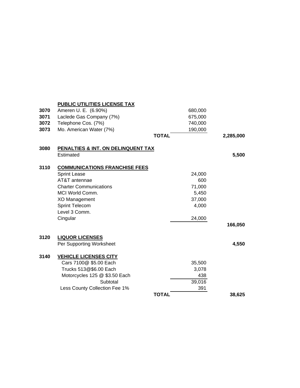|      | <b>PUBLIC UTILITIES LICENSE TAX</b>  |              |         |           |
|------|--------------------------------------|--------------|---------|-----------|
| 3070 | Ameren U. E. (6.90%)                 |              | 680,000 |           |
| 3071 | Laclede Gas Company (7%)             |              | 675,000 |           |
| 3072 | Telephone Cos. (7%)                  |              | 740,000 |           |
| 3073 | Mo. American Water (7%)              |              | 190,000 |           |
|      |                                      | <b>TOTAL</b> |         | 2,285,000 |
| 3080 | PENALTIES & INT. ON DELINQUENT TAX   |              |         |           |
|      | Estimated                            |              |         | 5,500     |
| 3110 | <b>COMMUNICATIONS FRANCHISE FEES</b> |              |         |           |
|      | <b>Sprint Lease</b>                  |              | 24,000  |           |
|      | AT&T antennae                        |              | 600     |           |
|      | <b>Charter Communications</b>        |              | 71,000  |           |
|      | <b>MCI World Comm.</b>               |              | 5,450   |           |
|      | XO Management                        |              | 37,000  |           |
|      | <b>Sprint Telecom</b>                |              | 4,000   |           |
|      | Level 3 Comm.                        |              |         |           |
|      | Cingular                             |              | 24,000  |           |
|      |                                      |              |         | 166,050   |
| 3120 | <b>LIQUOR LICENSES</b>               |              |         |           |
|      | Per Supporting Worksheet             |              |         | 4,550     |
| 3140 | <b>VEHICLE LICENSES CITY</b>         |              |         |           |
|      | Cars 7100@ \$5.00 Each               |              | 35,500  |           |
|      | Trucks 513@\$6.00 Each               |              | 3,078   |           |
|      | Motorcycles 125 @ \$3.50 Each        |              | 438     |           |
|      | Subtotal                             |              | 39,016  |           |
|      | Less County Collection Fee 1%        |              | 391     |           |
|      |                                      | <b>TOTAL</b> |         | 38,625    |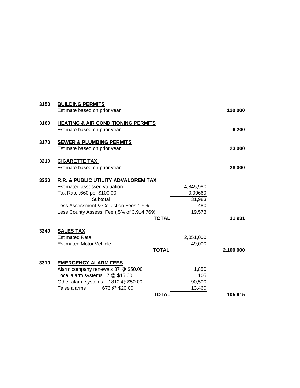| 3150 | <b>BUILDING PERMITS</b><br>Estimate based on prior year                                                                                                                                                               |                                                 | 120,000   |
|------|-----------------------------------------------------------------------------------------------------------------------------------------------------------------------------------------------------------------------|-------------------------------------------------|-----------|
| 3160 | <b>HEATING &amp; AIR CONDITIONING PERMITS</b><br>Estimate based on prior year                                                                                                                                         |                                                 | 6,200     |
| 3170 | <b>SEWER &amp; PLUMBING PERMITS</b><br>Estimate based on prior year                                                                                                                                                   |                                                 | 23,000    |
| 3210 | <b>CIGARETTE TAX</b><br>Estimate based on prior year                                                                                                                                                                  |                                                 | 28,000    |
| 3230 | R.R. & PUBLIC UTILITY ADVALOREM TAX<br>Estimated assessed valuation<br>Tax Rate .660 per \$100.00<br>Subtotal<br>Less Assessment & Collection Fees 1.5%<br>Less County Assess. Fee (.5% of 3,914,769)<br><b>TOTAL</b> | 4,845,980<br>0.00660<br>31,983<br>480<br>19,573 | 11,931    |
| 3240 | <b>SALES TAX</b><br><b>Estimated Retail</b><br><b>Estimated Motor Vehicle</b><br><b>TOTAL</b>                                                                                                                         | 2,051,000<br>49,000                             | 2,100,000 |
| 3310 | <b>EMERGENCY ALARM FEES</b><br>Alarm company renewals 37 @ \$50.00<br>Local alarm systems 7 @ \$15.00<br>Other alarm systems 1810 @ \$50.00<br>False alarms<br>673 @ \$20.00<br><b>TOTAL</b>                          | 1,850<br>105<br>90,500<br>13,460                | 105,915   |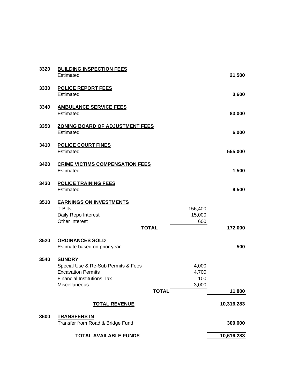| 3320 | <b>BUILDING INSPECTION FEES</b><br>Estimated                                                                                            |              |                                | 21,500     |
|------|-----------------------------------------------------------------------------------------------------------------------------------------|--------------|--------------------------------|------------|
| 3330 | <b>POLICE REPORT FEES</b><br>Estimated                                                                                                  |              |                                | 3,600      |
| 3340 | <b>AMBULANCE SERVICE FEES</b><br>Estimated                                                                                              |              |                                | 83,000     |
| 3350 | <b>ZONING BOARD OF ADJUSTMENT FEES</b><br>Estimated                                                                                     |              |                                | 6,000      |
| 3410 | <b>POLICE COURT FINES</b><br>Estimated                                                                                                  |              |                                | 555,000    |
| 3420 | <b>CRIME VICTIMS COMPENSATION FEES</b><br>Estimated                                                                                     |              |                                | 1,500      |
| 3430 | <b>POLICE TRAINING FEES</b><br>Estimated                                                                                                |              |                                | 9,500      |
| 3510 | <b>EARNINGS ON INVESTMENTS</b><br><b>T-Bills</b><br>Daily Repo Interest<br>Other Interest                                               | <b>TOTAL</b> | 156,400<br>15,000<br>600       | 172,000    |
| 3520 | <b>ORDINANCES SOLD</b><br>Estimate based on prior year                                                                                  |              |                                | 500        |
| 3540 | <b>SUNDRY</b><br>Special Use & Re-Sub Permits & Fees<br><b>Excavation Permits</b><br><b>Financial Institutions Tax</b><br>Miscellaneous | <b>TOTAL</b> | 4,000<br>4,700<br>100<br>3,000 | 11,800     |
|      | <b>TOTAL REVENUE</b>                                                                                                                    |              |                                | 10,316,283 |
| 3600 | <b>TRANSFERS IN</b><br>Transfer from Road & Bridge Fund                                                                                 |              |                                | 300,000    |
|      | <b>TOTAL AVAILABLE FUNDS</b>                                                                                                            |              |                                | 10,616,283 |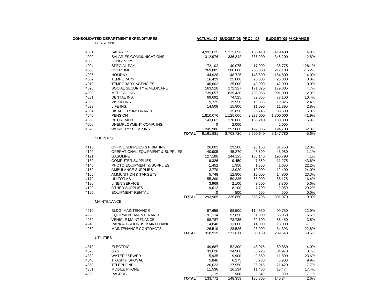| PERSONNEL                                                                         | 5,419,400  |          |
|-----------------------------------------------------------------------------------|------------|----------|
|                                                                                   |            |          |
| 4001<br><b>SALARIES</b><br>4,992,835<br>5,225,696<br>5,166,410                    |            | 4.9%     |
| 4002<br>SALARIES COMMUNICATIONS<br>312,976<br>336,342<br>336,900                  | 346,200    | 2.8%     |
| 4003<br><b>LONGEVITY</b>                                                          |            |          |
| 4004<br>SPECIAL PAY<br>40.075<br>172,102<br>17.000                                | 38.775     | 128.1%   |
| 256,000<br>4005<br><b>OVERTIME</b><br>269,885<br>200,000                          | 217,100    | $-15.2%$ |
| 4006<br>148,725<br>148,800<br><b>HOLIDAY</b><br>144,928                           | 154,800    | 4.0%     |
| 4007<br><b>TEMPORARY</b><br>16,429<br>25,000<br>25,000                            | 25,000     | 0.0%     |
| 25,000<br>42,000<br>4010<br><b>TEMPORARY AGENCIES</b><br>46,602                   | 42,000     | 0.0%     |
| 4020<br>SOCIAL SECURITY & MEDICARE<br>163,518<br>172,327<br>171,825               | 179,885    | 4.7%     |
| 4030<br>739,057<br>835,430<br>798,065<br>MEDICAL INS.                             | 901,000    | 12.9%    |
| 4031<br>DENTAL INS.<br>69,692<br>74,525<br>69,865                                 | 77,100     | 10.4%    |
| 4032<br>VISION INS.<br>19,725<br>19,950<br>19,365                                 | 19,825     | 2.4%     |
| 4033<br>LIFE INS.<br>14,508<br>15,800<br>11,090                                   | 11,395     | 2.8%     |
| 4034<br><b>DISABILITY INSURANCE</b><br>35,850<br>36,745                           | 38,600     | 5.0%     |
| 4040<br>1,810,076<br><b>PENSION</b><br>1,125,000<br>2,237,000                     | 1,300,000  | $-41.9%$ |
| 4050<br><b>RETIREMENT</b><br>143,662<br>170,000<br>155,240                        | 180,000    | 15.9%    |
| UNEMPLOYMENT COMP. INS.<br>4060<br>0<br>2,000                                     | 2,000      |          |
| 4070<br>WORKERS' COMP INS.<br>245,986<br>257,000<br>199,335                       | 194,700    | $-2.3%$  |
| <b>TOTAL</b><br>9,161,981<br>8,708,720<br>9,690,640                               | 9,147,780  | $-5.6%$  |
| <b>SUPPLIES</b>                                                                   |            |          |
| 4110<br>OFFICE SUPPLIES & PRINTING<br>26,605<br>29,200<br>28,150                  | 31,750     | 12.8%    |
| 4120<br><b>OPERATIONAL EQUIPMENT &amp; SUPPLIES</b><br>40,905<br>45,270<br>43,500 | 43,980     | 1.1%     |
| 4121<br><b>GASOLINE</b><br>127,188<br>144,125<br>188,145                          | 195,790    | 4.1%     |
| 4130<br><b>COMPUTER SUPPLIES</b><br>9,326<br>9,450<br>7,850                       | 11,275     | 43.6%    |
| 4140<br>PHOTO EQUIPMENT & SUPPLIES<br>1,452<br>1,950<br>1,350                     | 1,650      | 22.2%    |
| 4150<br>AMBULANCE SUPPLIES<br>13,770<br>13,020<br>10,000                          | 12,400     | 24.0%    |
| 4160<br>AMMUNITION & TARGETS<br>5,748<br>12,800<br>12,000                         | 14,800     | 23.3%    |
| 55,390<br>59,335<br>56,000<br>4170<br><b>UNIFORMS</b>                             | 65,175     | 16.4%    |
| 4180<br><b>LINEN SERVICE</b><br>3,969<br>2,100<br>3,600                           | 3,800      | 5.6%     |
| 9,612<br>7,700<br>4190<br><b>OTHER SUPPLIES</b><br>8,100                          | 9,950      | 29.2%    |
| 4195<br><b>EQUIPMENT RENTAL</b><br>$\Omega$<br>500                                | 500<br>500 | 0.0%     |
| <b>TOTAL</b><br>293,965<br>325,850<br>358,795                                     | 391,070    | 9.0%     |
| <b>MAINTENANCE</b>                                                                |            |          |
| 98,500<br>4210<br><b>BLDG. MAINTENANCE</b><br>97,659<br>114,550                   | 99,750     | $-12.9%$ |
| 4220<br><b>EQUIPMENT MAINTENANCE</b><br>91,114<br>57,850<br>61,000                | 56,950     | $-6.6%$  |
| 4230<br><b>VEHICLE MAINTENANCE</b><br>88,787<br>73,735<br>82,600                  | 85,450     | 3.5%     |
| 14,000<br>4240<br>PARK & GROUNDS MAINTENANCE<br>14,840<br>13,000                  | 13,000     | $-7.1%$  |
| 4250<br>MAINTENANCE CONTRACTS<br>26,519<br>28,526<br>28,000                       | 34,393     | 22.8%    |
| <b>TOTAL</b><br>318,919<br>271,611<br>300,150                                     | 289,543    | $-3.5%$  |
| <b>UTILITIES</b>                                                                  |            |          |
| <b>ELECTRIC</b><br>4310<br>49,687<br>52,300<br>48,915                             | 50,880     | 4.0%     |
| 4320<br>GAS<br>33,626<br>34,900<br>33,725                                         | 34,970     | 3.7%     |
| 4330<br>WATER / SEWER<br>5,935<br>9,900<br>9,550                                  | 11,800     | 23.6%    |
| 4340<br><b>TRASH DISPOSAL</b><br>5,846<br>6,275<br>6,280                          | 6,900      | 9.9%     |
| 4350<br>26,023<br><b>TELEPHONE</b><br>27,950<br>26,015                            | 21,420     | $-17.7%$ |
| 4351<br>MOBILE PHONE<br>11,536<br>16,134<br>11,480                                | 13,474     | 17.4%    |
| 4352<br><b>PAGERS</b><br>1,119<br>900<br>840                                      | 900        | 7.1%     |
| <b>TOTAL</b><br>133,772<br>148,359<br>136,805                                     | 140,344    | 2.6%     |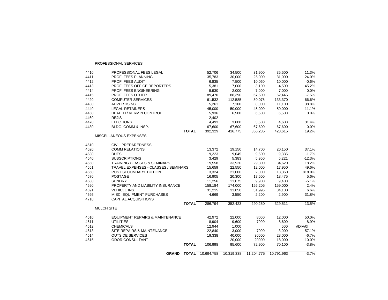|              | <b>GRAND</b><br><b>TOTAL</b>                           | 10.694.758     | 10,319,338     | 11.204.775     | 10,791,963     | $-3.7%$       |
|--------------|--------------------------------------------------------|----------------|----------------|----------------|----------------|---------------|
|              | <b>TOTAL</b>                                           | 106,998        | 95,600         | 72,900         | 70,100         | $-3.8%$       |
| 4615         | <b>ODOR CONSULTANT</b>                                 |                | 20,000         | 20000          | 18,000         | $-10.0%$      |
| 4614         | <b>OUTSIDE SERVICES</b>                                | 19,338         | 40,000         | 30000          | 28,000         | $-6.7%$       |
| 4613         | SITE REPAIRS & MAINTENANCE                             | 22,840         | 3,000          | 7000           | 3,000          | $-57.1%$      |
| 4612         | <b>CHEMICALS</b>                                       | 12,944         | 1,000          |                | 500            | #DIV/0!       |
| 4611         | <b>UTILITIES</b>                                       | 8,904          | 9,600          | 7900           | 8,600          | 8.9%          |
| 4610         | <b>EQUIPMENT REPAIRS &amp; MAINTENANCE</b>             | 42,972         | 22,000         | 8000           | 12,000         | 50.0%         |
|              |                                                        |                |                |                |                |               |
|              | <b>MULCH SITE</b>                                      |                |                |                |                |               |
|              | <b>TOTAL</b>                                           | 286,794        | 352,423        | 290,250        | 329,511        | 13.5%         |
| 4710         | <b>CAPITAL ACQUISITIONS</b>                            |                |                |                |                |               |
| 4595         | MISC. EQUIPMENT PURCHASES                              | 4,669          | 3,550          | 2,200          | 2,900          | 31.8%         |
| 4591         | <b>VEHICLE INS.</b>                                    | 31,215         | 31,850         | 31,995         | 34,100         | 6.6%          |
| 4590         | PROPERTY AND LIABILITY INSURANCE                       | 158,184        | 174,000        | 155,205        | 159,000        | 2.4%          |
| 4580         | <b>SUNDRY</b>                                          | 11,256         | 11,075         | 9,900          | 9,400          | $-5.1%$       |
| 4570         | <b>POSTAGE</b>                                         | 16,905         | 20,300         | 17,500         | 18,475         | 5.6%          |
| 4560         | POST SECONDARY TUITION                                 | 3,324          | 21,000         | 2,000          | 18,360         | 818.0%        |
| 4551         | <b>TRAVEL EXPENSES - CLASSES / SEMINARS</b>            | 15,659         | 22,550         | 12,000         | 17,950         | 49.6%         |
| 4550         | <b>TRAINING CLASSES &amp; SEMINARS</b>                 | 19,558         | 33,920         | 29,300         | 34,620         | 18.2%         |
| 4540         | <b>SUBSCRIPTIONS</b>                                   | 3,429          | 5,383          | 5,950          | 5,221          | $-12.3%$      |
| 4530         | <b>DUES</b>                                            | 9,223          | 9,645          | 9,500          | 9,335          | $-1.7%$       |
| 4520         | <b>COMM RELATIONS</b>                                  | 13,372         | 19,150         | 14,700         | 20,150         | 37.1%         |
| 4510         | <b>CIVIL PREPAREDNESS</b>                              |                |                |                |                |               |
|              | MISCELLANEOUS EXPENSES                                 |                |                |                |                |               |
|              | <b>TOTAL</b>                                           | 392,329        | 416.775        | 355,235        | 423.615        | 19.2%         |
| 4480         | BLDG. COMM & INSP.                                     | 67,600         | 67,600         | 67,600         | 67,600         | 0.0%          |
| 4470         | <b>ELECTIONS</b>                                       | 4,493          | 3,600          | 3,500          | 4,600          | 31.4%         |
| 4460         | <b>REJIS</b>                                           | 2,402          |                |                |                |               |
| 4450         | <b>HEALTH / VERMIN CONTROL</b>                         | 5,936          | 6,500          | 6,500          | 6,500          | 0.0%          |
| 4440         | <b>LEGAL RETAINERS</b>                                 | 45,000         | 50,000         | 45,000         | 50,000         | 11.1%         |
| 4430         | <b>ADVERTISING</b>                                     | 5,261          | 7,100          | 8,000          | 11,100         | 38.8%         |
| 4420         | <b>COMPUTER SERVICES</b>                               | 61,532         | 112,585        | 80,075         | 133,370        | 66.6%         |
| 4415         | PROF. FEES OTHER                                       | 89,470         | 88,390         | 67,500         | 62,445         | $-7.5%$       |
| 4413<br>4414 | PROF. FEES ENGINEERING                                 | 5,381<br>9,930 | 7,000<br>2,000 | 3,100<br>7,000 | 4,500<br>7,000 | 45.2%<br>0.0% |
| 4412         | <b>PROF. FEES AUDIT</b><br>PROF. FEES OFFICE REPORTERS | 6,835          | 7,500          | 10,060         | 10,000         | $-0.6%$       |
| 4411         | PROF. FEES PLANNING                                    | 35,783         | 30,000         | 25,000         | 31,000         | 24.0%         |
| 4410         | PROFESSIONAL FEES LEGAL                                | 52,706         | 34,500         | 31,900         | 35,500         | 11.3%         |
|              |                                                        |                |                |                |                |               |

PROFESSIONAL SERVICES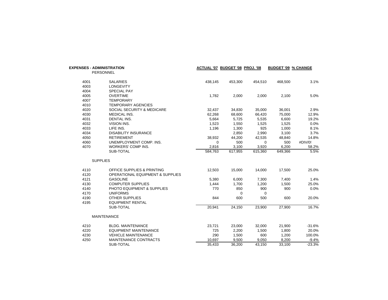|                      | <b>EXPENSES - ADMINISTRATION</b><br><b>PERSONNEL</b>                      |                       | ACTUAL '07 BUDGET '08 PROJ. '08 |                       | <b>BUDGET '09 % CHANGE</b> |                      |
|----------------------|---------------------------------------------------------------------------|-----------------------|---------------------------------|-----------------------|----------------------------|----------------------|
| 4001<br>4003         | <b>SALARIES</b><br><b>LONGEVITY</b>                                       | 438,145               | 453,300                         | 454,510               | 468,500                    | 3.1%                 |
| 4004<br>4005<br>4007 | SPECIAL PAY<br><b>OVERTIME</b><br><b>TEMPORARY</b>                        | 1,782                 | 2,000                           | 2,000                 | 2,100                      | 5.0%                 |
| 4010<br>4020         | <b>TEMPORARY AGENCIES</b><br>SOCIAL SECURITY & MEDICARE                   | 32,437                | 34,830                          | 35,000                | 36,001                     | 2.9%                 |
| 4030<br>4031         | <b>MEDICAL INS.</b><br><b>DENTAL INS.</b>                                 | 62,268<br>5,664       | 68,600<br>5,725                 | 66,420<br>5,535       | 75,000<br>6,600            | 12.9%<br>19.2%       |
| 4032<br>4033<br>4034 | VISION INS.<br>LIFE INS.<br><b>DISABILITY INSURANCE</b>                   | 1,523<br>1,196        | 1,550<br>1,300<br>2,850         | 1,525<br>925<br>2,990 | 1,525<br>1,000<br>3,100    | 0.0%<br>8.1%<br>3.7% |
| 4050<br>4060         | <b>RETIREMENT</b><br>UNEMPLOYMENT COMP. INS.                              | 38,932<br>$\mathbf 0$ | 44,200<br>500                   | 42,535<br>0           | 48,840<br>500              | 14.8%<br>#DIV/0!     |
| 4070                 | <b>WORKERS' COMP INS.</b><br>SUB-TOTAL                                    | 2,816<br>584,763      | 3,100<br>617,955                | 3,920<br>615,360      | 6,200<br>649,366           | 58.2%<br>5.5%        |
|                      | <b>SUPPLIES</b>                                                           |                       |                                 |                       |                            |                      |
| 4110<br>4120         | OFFICE SUPPLIES & PRINTING<br><b>OPERATIONAL EQUIPMENT &amp; SUPPLIES</b> | 12,503                | 15,000                          | 14,000                | 17,500                     | 25.0%                |
| 4121<br>4130         | <b>GASOLINE</b><br><b>COMPUTER SUPPLIES</b>                               | 5,380<br>1,444        | 6,000<br>1,700                  | 7,300<br>1,200        | 7,400<br>1,500             | 1.4%<br>25.0%        |
| 4140<br>4170         | PHOTO EQUIPMENT & SUPPLIES<br><b>UNIFORMS</b>                             | 770                   | 850<br>0                        | 900<br>0              | 900                        | 0.0%                 |
| 4190<br>4195         | <b>OTHER SUPPLIES</b><br><b>EQUIPMENT RENTAL</b><br>SUB-TOTAL             | 844<br>20,941         | 600<br>24,150                   | 500<br>23,900         | 600<br>27,900              | 20.0%<br>16.7%       |
|                      | <b>MAINTENANCE</b>                                                        |                       |                                 |                       |                            |                      |
| 4210                 | <b>BLDG. MAINTENANCE</b>                                                  | 23,721                | 23,000                          | 32,000                | 21,900                     | $-31.6%$             |
| 4220<br>4230         | <b>EQUIPMENT MAINTENANCE</b><br><b>VEHICLE MAINTENANCE</b>                | 725<br>290            | 2,200<br>1,500                  | 1,500<br>600          | 1,800<br>1,200             | 20.0%<br>100.0%      |
| 4250                 | MAINTENANCE CONTRACTS<br>SUB-TOTAL                                        | 10,697<br>35,433      | 9,500<br>36,200                 | 9,050<br>43,150       | 8,200<br>33,100            | $-9.4%$<br>$-23.3%$  |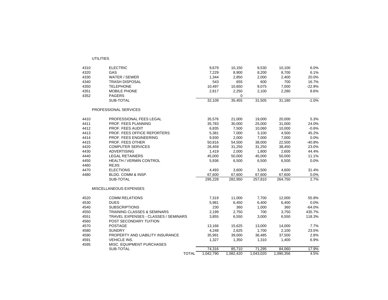UTILITIES

| 4310 | <b>ELECTRIC</b>                             | 9,679     | 10,150    | 9,530     | 10,100    | 6.0%     |
|------|---------------------------------------------|-----------|-----------|-----------|-----------|----------|
| 4320 | GAS                                         | 7,229     | 8,900     | 8,200     | 8,700     | 6.1%     |
| 4330 | WATER / SEWER                               | 1,344     | 2,850     | 2,000     | 2,400     | 20.0%    |
| 4340 | <b>TRASH DISPOSAL</b>                       | 543       | 655       | 600       | 700       | 16.7%    |
| 4350 | <b>TELEPHONE</b>                            | 10,497    | 10,650    | 9,075     | 7,000     | $-22.9%$ |
| 4351 | MOBILE PHONE                                | 2,817     | 2,250     | 2,100     | 2,280     | 8.6%     |
| 4352 | <b>PAGERS</b>                               |           | 0         |           |           |          |
|      | SUB-TOTAL                                   | 32,109    | 35,455    | 31,505    | 31,180    | $-1.0%$  |
|      | PROFESSIONAL SERVICES                       |           |           |           |           |          |
| 4410 | PROFESSIONAL FEES LEGAL                     | 35,576    | 21,000    | 19,000    | 20,000    | 5.3%     |
| 4411 | PROF. FEES PLANNING                         | 35,783    | 30,000    | 25,000    | 31,000    | 24.0%    |
| 4412 | PROF. FEES AUDIT                            | 6,835     | 7,500     | 10,060    | 10,000    | $-0.6%$  |
| 4413 | PROF. FEES OFFICE REPORTERS                 | 5,381     | 7,000     | 3,100     | 4,500     | 45.2%    |
| 4414 | PROF. FEES ENGINEERING                      | 9,930     | 2,000     | 7,000     | 7,000     | 0.0%     |
| 4415 | PROF. FEES OTHER                            | 50,816    | 54,500    | 38,000    | 22,500    | $-40.8%$ |
| 4420 | <b>COMPUTER SERVICES</b>                    | 26,459    | 31,250    | 31,250    | 38,450    | 23.0%    |
| 4430 | <b>ADVERTISING</b>                          | 1,419     | 2,000     | 1,800     | 2,600     | 44.4%    |
| 4440 | <b>LEGAL RETAINERS</b>                      | 45,000    | 50,000    | 45,000    | 50,000    | 11.1%    |
| 4450 | <b>HEALTH / VERMIN CONTROL</b>              | 5,936     | 6,500     | 6,500     | 6,500     | 0.0%     |
| 4460 | <b>REJIS</b>                                |           |           |           |           |          |
| 4470 | <b>ELECTIONS</b>                            | 4,493     | 3,600     | 3,500     | 4,600     | 31.4%    |
| 4480 | BLDG. COMM & INSP.                          | 67,600    | 67,600    | 67,600    | 67,600    | 0.0%     |
|      | SUB-TOTAL                                   | 295,228   | 282,950   | 257,810   | 264,750   | 2.7%     |
|      | MISCELLANEOUS EXPENSES                      |           |           |           |           |          |
| 4520 | <b>COMM RELATIONS</b>                       | 7,319     | 11,000    | 7,700     | 12,000    | 55.8%    |
| 4530 | <b>DUES</b>                                 | 5,981     | 6,450     | 6,400     | 6,400     | 0.0%     |
| 4540 | <b>SUBSCRIPTIONS</b>                        | 230       | 360       | 1,000     | 360       | $-64.0%$ |
| 4550 | <b>TRAINING CLASSES &amp; SEMINARS</b>      | 2,199     | 2,750     | 700       | 3,750     | 435.7%   |
| 4551 | <b>TRAVEL EXPENSES - CLASSES / SEMINARS</b> | 3,855     | 6,550     | 3,000     | 6,550     | 118.3%   |
| 4560 | POST SECONDARY TUITION                      |           |           |           |           |          |
| 4570 | <b>POSTAGE</b>                              | 13,166    | 15,625    | 13,000    | 14,000    | 7.7%     |
| 4580 | <b>SUNDRY</b>                               | 4,248     | 2,625     | 1,700     | 2,100     | 23.5%    |
| 4590 | PROPERTY AND LIABILITY INSURANCE            | 35,991    | 39,000    | 36,485    | 37,500    | 2.8%     |
| 4591 | <b>VEHICLE INS.</b>                         | 1,327     | 1,350     | 1,310     | 1,400     | 6.9%     |
| 4595 | MISC. EQUIPMENT PURCHASES                   |           |           |           |           |          |
|      | SUB-TOTAL                                   | 74,316    | 85,710    | 71,295    | 84,060    | 17.9%    |
|      | <b>TOTAL</b>                                | 1,042,790 | 1,082,420 | 1,043,020 | 1,090,356 | 4.5%     |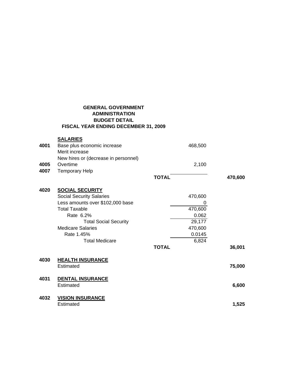## **GENERAL GOVERNMENT ADMINISTRATION BUDGET DETAIL FISCAL YEAR ENDING DECEMBER 31, 2009**

| 4001<br>4005<br>4007 | <b>SALARIES</b><br>Base plus economic increase<br>Merit increase<br>New hires or (decrease in personnel)<br>Overtime<br><b>Temporary Help</b>                                                                                         | <b>TOTAL</b> | 468,500<br>2,100                                                         | 470,600 |
|----------------------|---------------------------------------------------------------------------------------------------------------------------------------------------------------------------------------------------------------------------------------|--------------|--------------------------------------------------------------------------|---------|
| 4020                 | <b>SOCIAL SECURITY</b><br><b>Social Security Salaries</b><br>Less amounts over \$102,000 base<br><b>Total Taxable</b><br>Rate 6.2%<br><b>Total Social Security</b><br><b>Medicare Salaries</b><br>Rate 1.45%<br><b>Total Medicare</b> | <b>TOTAL</b> | 470,600<br>0<br>470,600<br>0.062<br>29,177<br>470,600<br>0.0145<br>6,824 | 36,001  |
| 4030                 | <b>HEALTH INSURANCE</b><br>Estimated                                                                                                                                                                                                  |              |                                                                          | 75,000  |
| 4031                 | <b>DENTAL INSURANCE</b><br>Estimated                                                                                                                                                                                                  |              |                                                                          | 6,600   |
| 4032                 | <b>VISION INSURANCE</b><br>Estimated                                                                                                                                                                                                  |              |                                                                          | 1,525   |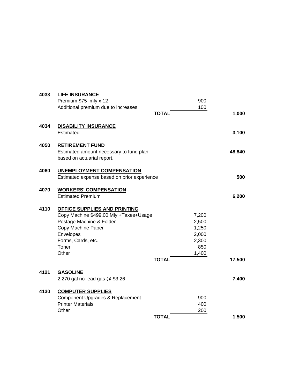| <b>LIFE INSURANCE</b><br>Premium \$75 mly x 12<br>Additional premium due to increases                                               | <b>TOTAL</b> | 900<br>100                                                                                            | 1,000  |
|-------------------------------------------------------------------------------------------------------------------------------------|--------------|-------------------------------------------------------------------------------------------------------|--------|
| <b>DISABILITY INSURANCE</b><br>Estimated                                                                                            |              |                                                                                                       | 3,100  |
| <b>RETIREMENT FUND</b><br>Estimated amount necessary to fund plan<br>based on actuarial report.                                     |              |                                                                                                       | 48,840 |
| <b>UNEMPLOYMENT COMPENSATION</b>                                                                                                    |              |                                                                                                       | 500    |
| <b>WORKERS' COMPENSATION</b><br><b>Estimated Premium</b>                                                                            |              |                                                                                                       | 6,200  |
| OFFICE SUPPLIES AND PRINTING<br>Postage Machine & Folder<br>Copy Machine Paper<br>Envelopes<br>Forms, Cards, etc.<br>Toner<br>Other | <b>TOTAL</b> | 7,200<br>2,500<br>1,250<br>2,000<br>2,300<br>850<br>1,400                                             | 17,500 |
| <b>GASOLINE</b><br>2,270 gal no-lead gas @ \$3.26                                                                                   |              |                                                                                                       | 7,400  |
| <b>COMPUTER SUPPLIES</b><br>Component Upgrades & Replacement<br><b>Printer Materials</b><br>Other                                   |              | 900<br>400<br>200                                                                                     | 1,500  |
|                                                                                                                                     |              | Estimated expense based on prior experience<br>Copy Machine \$499.00 Mly +Taxes+Usage<br><b>TOTAL</b> |        |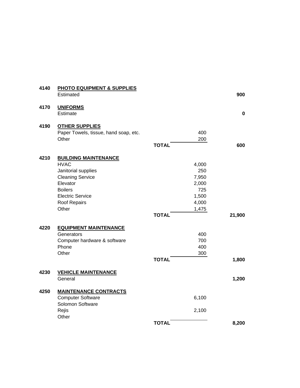| 4140 | <b>PHOTO EQUIPMENT &amp; SUPPLIES</b> |              |       |           |
|------|---------------------------------------|--------------|-------|-----------|
|      | Estimated                             |              |       | 900       |
| 4170 | <b>UNIFORMS</b>                       |              |       |           |
|      | Estimate                              |              |       | $\pmb{0}$ |
| 4190 | <b>OTHER SUPPLIES</b>                 |              |       |           |
|      | Paper Towels, tissue, hand soap, etc. |              | 400   |           |
|      | Other                                 |              | 200   |           |
|      |                                       | <b>TOTAL</b> |       | 600       |
| 4210 | <b>BUILDING MAINTENANCE</b>           |              |       |           |
|      | <b>HVAC</b>                           |              | 4,000 |           |
|      | Janitorial supplies                   |              | 250   |           |
|      | <b>Cleaning Service</b>               |              | 7,950 |           |
|      | Elevator                              |              | 2,000 |           |
|      | <b>Boilers</b>                        |              | 725   |           |
|      | <b>Electric Service</b>               |              | 1,500 |           |
|      | Roof Repairs                          |              | 4,000 |           |
|      | Other                                 |              | 1,475 |           |
|      |                                       | <b>TOTAL</b> |       | 21,900    |
| 4220 | <b>EQUIPMENT MAINTENANCE</b>          |              |       |           |
|      | Generators                            |              | 400   |           |
|      | Computer hardware & software          |              | 700   |           |
|      | Phone                                 |              | 400   |           |
|      | Other                                 |              | 300   |           |
|      |                                       | <b>TOTAL</b> |       | 1,800     |
| 4230 | <b>VEHICLE MAINTENANCE</b>            |              |       |           |
|      | General                               |              |       | 1,200     |
| 4250 | <b>MAINTENANCE CONTRACTS</b>          |              |       |           |
|      | <b>Computer Software</b>              |              | 6,100 |           |
|      | Solomon Software                      |              |       |           |
|      | Rejis                                 |              | 2,100 |           |
|      | Other                                 | <b>TOTAL</b> |       | 8,200     |
|      |                                       |              |       |           |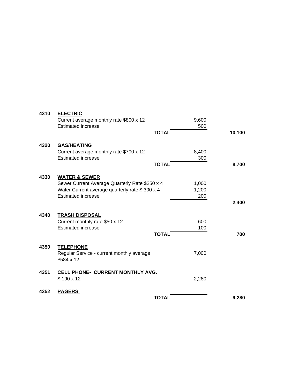| 4310 | <b>ELECTRIC</b><br>Current average monthly rate \$800 x 12 |              | 9,600 |        |
|------|------------------------------------------------------------|--------------|-------|--------|
|      | <b>Estimated increase</b>                                  |              | 500   |        |
|      |                                                            | <b>TOTAL</b> |       | 10,100 |
| 4320 | <b>GAS/HEATING</b>                                         |              |       |        |
|      | Current average monthly rate \$700 x 12                    |              | 8,400 |        |
|      | <b>Estimated increase</b>                                  |              | 300   |        |
|      |                                                            | <b>TOTAL</b> |       | 8,700  |
| 4330 | <b>WATER &amp; SEWER</b>                                   |              |       |        |
|      | Sewer Current Average Quarterly Rate \$250 x 4             |              | 1,000 |        |
|      | Water Current average quarterly rate \$300 x 4             |              | 1,200 |        |
|      | <b>Estimated increase</b>                                  |              | 200   |        |
|      |                                                            |              |       | 2,400  |
| 4340 | <b>TRASH DISPOSAL</b>                                      |              |       |        |
|      | Current monthly rate \$50 x 12                             |              | 600   |        |
|      | <b>Estimated increase</b>                                  |              | 100   |        |
|      |                                                            | <b>TOTAL</b> |       | 700    |
|      |                                                            |              |       |        |
| 4350 | <b>TELEPHONE</b>                                           |              |       |        |
|      | Regular Service - current monthly average                  |              | 7,000 |        |
|      | \$584 x 12                                                 |              |       |        |
| 4351 | CELL PHONE- CURRENT MONTHLY AVG.                           |              |       |        |
|      | \$190 x 12                                                 |              | 2,280 |        |
|      |                                                            |              |       |        |
| 4352 | <b>PAGERS</b>                                              |              |       |        |
|      |                                                            | <b>TOTAL</b> |       | 9,280  |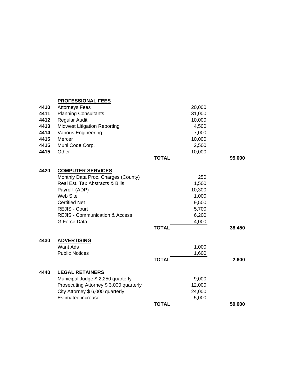|      | <b>PROFESSIONAL FEES</b>                  |              |        |
|------|-------------------------------------------|--------------|--------|
| 4410 | <b>Attorneys Fees</b>                     | 20,000       |        |
| 4411 | <b>Planning Consultants</b>               | 31,000       |        |
| 4412 | Regular Audit                             | 10,000       |        |
| 4413 | <b>Midwest Litigation Reporting</b>       | 4,500        |        |
| 4414 | Various Engineering                       | 7,000        |        |
| 4415 | Mercer                                    | 10,000       |        |
| 4415 | Muni Code Corp.                           | 2,500        |        |
| 4415 | Other                                     | 10,000       |        |
|      |                                           | <b>TOTAL</b> | 95,000 |
| 4420 | <b>COMPUTER SERVICES</b>                  |              |        |
|      | Monthly Data Proc. Charges (County)       |              | 250    |
|      | Real Est. Tax Abstracts & Bills           | 1,500        |        |
|      | Payroll (ADP)                             | 10,300       |        |
|      | Web Site                                  | 1,000        |        |
|      | <b>Certified Net</b>                      | 9,500        |        |
|      | <b>REJIS - Court</b>                      | 5,700        |        |
|      | <b>REJIS - Communication &amp; Access</b> | 6,200        |        |
|      | G Force Data                              | 4,000        |        |
|      |                                           | <b>TOTAL</b> | 38,450 |
| 4430 | <b>ADVERTISING</b>                        |              |        |
|      | <b>Want Ads</b>                           | 1,000        |        |
|      | <b>Public Notices</b>                     | 1,600        |        |
|      |                                           | <b>TOTAL</b> | 2,600  |
| 4440 | <b>LEGAL RETAINERS</b>                    |              |        |
|      | Municipal Judge \$ 2,250 quarterly        | 9,000        |        |
|      | Prosecuting Attorney \$3,000 quarterly    | 12,000       |        |
|      | City Attorney \$6,000 quarterly           | 24,000       |        |
|      | <b>Estimated increase</b>                 | 5,000        |        |
|      |                                           | <b>TOTAL</b> | 50,000 |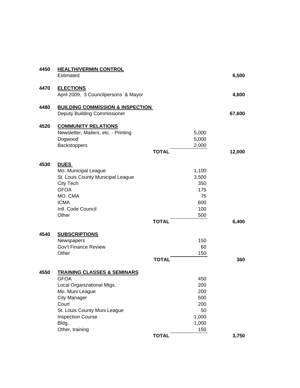| 4450 | <b>HEALTH/VERMIN CONTROL</b>                |              |        |
|------|---------------------------------------------|--------------|--------|
|      | Estimated                                   |              | 6,500  |
| 4470 | <b>ELECTIONS</b>                            |              |        |
|      | April 2009, 3 Councilpersons & Mayor        |              | 4,600  |
| 4480 | <b>BUILDING COMMISSION &amp; INSPECTION</b> |              |        |
|      | <b>Deputy Building Commissioner</b>         |              | 67,600 |
| 4520 | <b>COMMUNITY RELATIONS</b>                  |              |        |
|      | Newsletter, Mailers, etc. - Printing        | 5,000        |        |
|      | Dogwood                                     | 5,000        |        |
|      | Backstoppers                                | 2,000        |        |
|      |                                             | <b>TOTAL</b> | 12,000 |
| 4530 | <b>DUES</b>                                 |              |        |
|      | Mo. Municipal League                        | 1,100        |        |
|      | St. Louis County Municipal League           | 3,500        |        |
|      | City Tech                                   | 350          |        |
|      | <b>GFOA</b>                                 | 175          |        |
|      | MO. CMA                                     | 75           |        |
|      | <b>ICMA</b>                                 | 600          |        |
|      | Intl. Code Council                          | 100          |        |
|      | Other                                       | 500          |        |
|      |                                             | <b>TOTAL</b> | 6,400  |
| 4540 | <b>SUBSCRIPTIONS</b>                        |              |        |
|      | Newspapers                                  | 150          |        |
|      | <b>Gov't Finance Review</b>                 | 60           |        |
|      | Other                                       | 150          |        |
|      |                                             | <b>TOTAL</b> | 360    |
| 4550 | <b>TRAINING CLASSES &amp; SEMINARS</b>      |              |        |
|      | <b>GFOA</b>                                 | 450          |        |
|      | Local Organizational Mtgs.                  | 200          |        |
|      | Mo. Muni League                             | 200          |        |
|      | <b>City Manager</b>                         | 500          |        |
|      | Court                                       | 200          |        |
|      | St. Louis County Muni League                | 50           |        |
|      | <b>Inspection Course</b>                    | 1,000        |        |
|      | Bldg.                                       | 1,000        |        |
|      | Other, training                             | 150          |        |
|      |                                             | <b>TOTAL</b> | 3,750  |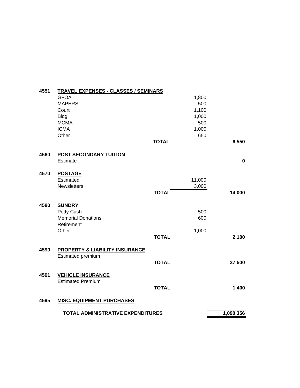| 4551 | <b>TRAVEL EXPENSES - CLASSES / SEMINARS</b> |              |        |             |
|------|---------------------------------------------|--------------|--------|-------------|
|      | <b>GFOA</b>                                 |              | 1,800  |             |
|      | <b>MAPERS</b>                               |              | 500    |             |
|      | Court                                       |              | 1,100  |             |
|      | Bldg.                                       |              | 1,000  |             |
|      | <b>MCMA</b>                                 |              | 500    |             |
|      | <b>ICMA</b>                                 |              | 1,000  |             |
|      | Other                                       |              | 650    |             |
|      |                                             | <b>TOTAL</b> |        | 6,550       |
| 4560 | <b>POST SECONDARY TUITION</b>               |              |        |             |
|      | Estimate                                    |              |        | $\mathbf 0$ |
| 4570 | <b>POSTAGE</b>                              |              |        |             |
|      | Estimated                                   |              | 11,000 |             |
|      | <b>Newsletters</b>                          |              | 3,000  |             |
|      |                                             | <b>TOTAL</b> |        | 14,000      |
| 4580 | <b>SUNDRY</b>                               |              |        |             |
|      | Petty Cash                                  |              | 500    |             |
|      | <b>Memorial Donations</b>                   |              | 600    |             |
|      | Retirement                                  |              |        |             |
|      | Other                                       |              | 1,000  |             |
|      |                                             | <b>TOTAL</b> |        | 2,100       |
| 4590 | <b>PROPERTY &amp; LIABILITY INSURANCE</b>   |              |        |             |
|      | Estimated premium                           |              |        |             |
|      |                                             | <b>TOTAL</b> |        | 37,500      |
| 4591 | <b>VEHICLE INSURANCE</b>                    |              |        |             |
|      | <b>Estimated Premium</b>                    | <b>TOTAL</b> |        | 1,400       |
|      |                                             |              |        |             |
| 4595 | <b>MISC. EQUIPMENT PURCHASES</b>            |              |        |             |
|      | <b>TOTAL ADMINISTRATIVE EXPENDITURES</b>    |              |        | 1,090,356   |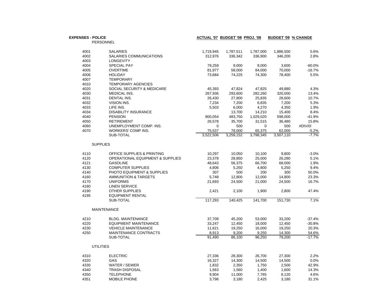| <b>EXPENSES - POLICE</b> |                                  | ACTUAL '07 BUDGET '08 PROJ. '08 |           |           | <b>BUDGET '09 % CHANGE</b> |          |
|--------------------------|----------------------------------|---------------------------------|-----------|-----------|----------------------------|----------|
|                          | PERSONNEL                        |                                 |           |           |                            |          |
| 4001                     | <b>SALARIES</b>                  | 1,719,945                       | 1,787,511 | 1,787,000 | 1,886,500                  | 5.6%     |
| 4002                     | SALARIES COMMUNICATIONS          | 312,976                         | 336,342   | 336,900   | 346,200                    | 2.8%     |
| 4003                     | <b>LONGEVITY</b>                 |                                 |           |           |                            |          |
| 4004                     | SPECIAL PAY                      | 79,259                          | 9,000     | 9,000     | 3,600                      | $-60.0%$ |
| 4005                     | <b>OVERTIME</b>                  | 81,977                          | 58,000    | 84,000    | 70,000                     | $-16.7%$ |
| 4006                     | <b>HOLIDAY</b>                   | 73,684                          | 74,225    | 74,300    | 78,400                     | 5.5%     |
| 4007                     | <b>TEMPORARY</b>                 |                                 |           |           |                            |          |
| 4010                     | <b>TEMPORARY AGENCIES</b>        |                                 |           |           |                            |          |
| 4020                     | SOCIAL SECURITY & MEDICARE       | 45,393                          | 47,824    | 47,825    | 49,880                     | 4.3%     |
| 4030                     | MEDICAL INS.                     | 267,936                         | 293,600   | 282,260   | 320,000                    | 13.4%    |
| 4031                     | DENTAL INS.                      | 26,430                          | 27,800    | 25,835    | 28,600                     | 10.7%    |
| 4032                     | VISION INS.                      | 7,234                           | 7,200     | 6,835     | 7,200                      | 5.3%     |
| 4033                     | LIFE INS.                        | 5,503                           | 6,000     | 4,270     | 4,350                      | 1.9%     |
| 4034                     | DISABILITY INSURANCE             |                                 | 13,700    | 14,210    | 15,400                     | 8.4%     |
| 4040                     | <b>PENSION</b>                   | 800,054                         | 483,750   | 1,029,020 | 598,000                    | $-41.9%$ |
| 4050                     | <b>RETIREMENT</b>                | 26,578                          | 35,700    | 31,515    | 36,480                     | 15.8%    |
| 4060                     | UNEMPLOYMENT COMP. INS.          | 0                               | 500       | 0         | 500                        | #DIV/0!  |
| 4070                     | WORKERS' COMP INS.               | 75,537                          | 78,000    | 65,375    | 62,000                     | $-5.2%$  |
|                          | SUB-TOTAL                        | 3,522,506                       | 3,259,152 | 3,798,345 | 3,507,110                  | $-7.7%$  |
|                          | <b>SUPPLIES</b>                  |                                 |           |           |                            |          |
| 4110                     | OFFICE SUPPLIES & PRINTING       | 10,297                          | 10,050    | 10,100    | 9,800                      | $-3.0%$  |
| 4120                     | OPERATIONAL EQUIPMENT & SUPPLIES | 23,378                          | 28,850    | 25,000    | 26,280                     | 5.1%     |
| 4121                     | <b>GASOLINE</b>                  | 48,643                          | 56,375    | 66,700    | 68,000                     | 1.9%     |
| 4130                     | <b>COMPUTER SUPPLIES</b>         | 4,806                           | 5,250     | 4,800     | 5,250                      | 9.4%     |
| 4140                     | PHOTO EQUIPMENT & SUPPLIES       | 307                             | 500       | 200       | 300                        | 50.0%    |
| 4160                     | <b>AMMUNITION &amp; TARGETS</b>  | 5,748                           | 12,800    | 12,000    | 14,800                     | 23.3%    |
| 4170                     | <b>UNIFORMS</b>                  | 21,693                          | 24,500    | 21,000    | 24,500                     | 16.7%    |
| 4180                     | <b>LINEN SERVICE</b>             |                                 |           |           |                            |          |
| 4190                     | <b>OTHER SUPPLIES</b>            | 2,421                           | 2,100     | 1,900     | 2,800                      | 47.4%    |
| 4195                     | <b>EQUIPMENT RENTAL</b>          |                                 |           |           |                            |          |
|                          | SUB-TOTAL                        | 117,293                         | 140.425   | 141,700   | 151.730                    | 7.1%     |
|                          | <b>MAINTENANCE</b>               |                                 |           |           |                            |          |
| 4210                     | <b>BLDG. MAINTENANCE</b>         | 37,709                          | 45,200    | 53,000    | 33,200                     | $-37.4%$ |
| 4220                     | <b>EQUIPMENT MAINTENANCE</b>     | 33,247                          | 12,450    | 18,000    | 12,450                     | $-30.8%$ |
| 4230                     | <b>VEHICLE MAINTENANCE</b>       | 11,621                          | 19,250    | 16,000    | 19,250                     | 20.3%    |
| 4250                     | MAINTENANCE CONTRACTS            | 8,913                           | 9,200     | 9,250     | 14,300                     | 54.6%    |
|                          | SUB-TOTAL                        | 91,490                          | 86,100    | 96,250    | 79,200                     | $-17.7%$ |
|                          | <b>UTILITIES</b>                 |                                 |           |           |                            |          |
| 4310                     | <b>ELECTRIC</b>                  | 27,336                          | 28,300    | 26,700    | 27,300                     | 2.2%     |
| 4320                     | GAS                              | 16,327                          | 14,300    | 14,500    | 14,500                     | 0.0%     |
| 4330                     | WATER / SEWER                    | 1,832                           | 2,350     | 1,750     | 2,500                      | 42.9%    |
| 4340                     | <b>TRASH DISPOSAL</b>            | 1,563                           | 1,560     | 1,400     | 1,600                      | 14.3%    |
| 4350                     | <b>TELEPHONE</b>                 | 9,904                           | 11,000    | 7,765     | 8,120                      | 4.6%     |
| 4351                     | <b>MOBILE PHONE</b>              | 3,796                           | 3,180     | 2,425     | 3,180                      | 31.1%    |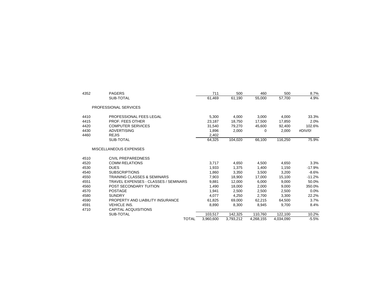| 4352 | <b>PAGERS</b>                               | 711       | 500       | 460       | 500       | 8.7%     |
|------|---------------------------------------------|-----------|-----------|-----------|-----------|----------|
|      | SUB-TOTAL                                   | 61,469    | 61,190    | 55,000    | 57,700    | 4.9%     |
|      | PROFESSIONAL SERVICES                       |           |           |           |           |          |
| 4410 | PROFESSIONAL FEES LEGAL                     | 5,300     | 4,000     | 3,000     | 4,000     | 33.3%    |
| 4415 | <b>PROF. FEES OTHER</b>                     | 23.187    | 18.750    | 17,500    | 17,850    | 2.0%     |
| 4420 | <b>COMPUTER SERVICES</b>                    | 31,540    | 79,270    | 45,600    | 92,400    | 102.6%   |
| 4430 | <b>ADVERTISING</b>                          | 1,896     | 2,000     | $\Omega$  | 2,000     | #DIV/0!  |
| 4460 | <b>REJIS</b>                                | 2,402     |           |           |           |          |
|      | SUB-TOTAL                                   | 64,325    | 104,020   | 66,100    | 116,250   | 75.9%    |
|      | MISCELLANEOUS EXPENSES                      |           |           |           |           |          |
| 4510 | <b>CIVIL PREPAREDNESS</b>                   |           |           |           |           |          |
| 4520 | <b>COMM RELATIONS</b>                       | 3,717     | 4,650     | 4,500     | 4,650     | 3.3%     |
| 4530 | <b>DUES</b>                                 | 1,933     | 1.375     | 1.400     | 1.150     | $-17.9%$ |
| 4540 | <b>SUBSCRIPTIONS</b>                        | 1,860     | 3.350     | 3.500     | 3.200     | $-8.6%$  |
| 4550 | <b>TRAINING CLASSES &amp; SEMINARS</b>      | 7,903     | 18,900    | 17,000    | 15,100    | $-11.2%$ |
| 4551 | <b>TRAVEL EXPENSES - CLASSES / SEMINARS</b> | 9,881     | 12,000    | 6,000     | 9,000     | 50.0%    |
| 4560 | POST SECONDARY TUITION                      | 1,490     | 18,000    | 2,000     | 9,000     | 350.0%   |
| 4570 | <b>POSTAGE</b>                              | 1,941     | 2,500     | 2,500     | 2,500     | $0.0\%$  |
| 4580 | <b>SUNDRY</b>                               | 4,077     | 4,250     | 2,700     | 3,300     | 22.2%    |
| 4590 | PROPERTY AND LIABILITY INSURANCE            | 61,825    | 69,000    | 62,215    | 64,500    | 3.7%     |
| 4591 | <b>VEHICLE INS.</b>                         | 8.890     | 8,300     | 8.945     | 9.700     | 8.4%     |
| 4710 | <b>CAPITAL ACQUISITIONS</b>                 |           |           |           |           |          |
|      | SUB-TOTAL                                   | 103,517   | 142,325   | 110,760   | 122,100   | 10.2%    |
|      | <b>TOTAL</b>                                | 3,960,600 | 3,793,212 | 4,268,155 | 4,034,090 | $-5.5%$  |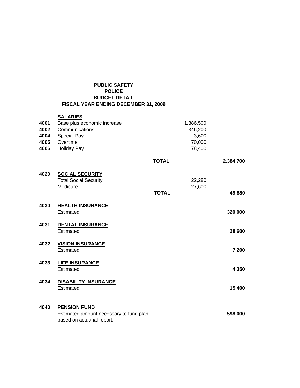## **PUBLIC SAFETY POLICE BUDGET DETAIL FISCAL YEAR ENDING DECEMBER 31, 2009**

|      | <b>SALARIES</b>                                                                              |              |           |           |
|------|----------------------------------------------------------------------------------------------|--------------|-----------|-----------|
| 4001 | Base plus economic increase                                                                  |              | 1,886,500 |           |
| 4002 | Communications                                                                               |              | 346,200   |           |
| 4004 | Special Pay                                                                                  |              | 3,600     |           |
| 4005 | Overtime                                                                                     |              | 70,000    |           |
| 4006 | <b>Holiday Pay</b>                                                                           |              | 78,400    |           |
|      |                                                                                              | <b>TOTAL</b> |           | 2,384,700 |
| 4020 | <b>SOCIAL SECURITY</b>                                                                       |              |           |           |
|      | <b>Total Social Security</b>                                                                 |              | 22,280    |           |
|      | Medicare                                                                                     |              | 27,600    |           |
|      |                                                                                              | <b>TOTAL</b> |           | 49,880    |
| 4030 | <b>HEALTH INSURANCE</b><br>Estimated                                                         |              |           | 320,000   |
| 4031 | <b>DENTAL INSURANCE</b><br>Estimated                                                         |              |           | 28,600    |
| 4032 | <b>VISION INSURANCE</b><br>Estimated                                                         |              |           | 7,200     |
| 4033 | <b>LIFE INSURANCE</b><br>Estimated                                                           |              |           | 4,350     |
| 4034 | <b>DISABILITY INSURANCE</b><br>Estimated                                                     |              |           | 15,400    |
| 4040 | <b>PENSION FUND</b><br>Estimated amount necessary to fund plan<br>based on actuarial report. |              |           | 598,000   |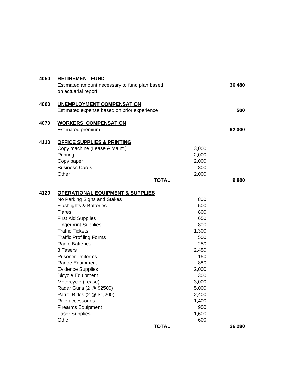| 4050 | <b>RETIREMENT FUND</b><br>Estimated amount necessary to fund plan based<br>on actuarial report. |       | 36,480 |
|------|-------------------------------------------------------------------------------------------------|-------|--------|
| 4060 | <b>UNEMPLOYMENT COMPENSATION</b><br>Estimated expense based on prior experience                 |       | 500    |
| 4070 | <b>WORKERS' COMPENSATION</b>                                                                    |       |        |
|      | Estimated premium                                                                               |       | 62,000 |
| 4110 | <b>OFFICE SUPPLIES &amp; PRINTING</b>                                                           |       |        |
|      | Copy machine (Lease & Maint.)                                                                   | 3,000 |        |
|      | Printing                                                                                        | 2,000 |        |
|      | Copy paper                                                                                      | 2,000 |        |
|      | <b>Business Cards</b>                                                                           | 800   |        |
|      | Other                                                                                           | 2,000 |        |
|      | <b>TOTAL</b>                                                                                    |       | 9,800  |
|      |                                                                                                 |       |        |
| 4120 | <b>OPERATIONAL EQUIPMENT &amp; SUPPLIES</b>                                                     |       |        |
|      | No Parking Signs and Stakes                                                                     | 800   |        |
|      | <b>Flashlights &amp; Batteries</b>                                                              | 500   |        |
|      | Flares                                                                                          | 800   |        |
|      | <b>First Aid Supplies</b>                                                                       | 650   |        |
|      | <b>Fingerprint Supplies</b>                                                                     | 800   |        |
|      | <b>Traffic Tickets</b>                                                                          | 1,300 |        |
|      | <b>Traffic Profiling Forms</b>                                                                  | 500   |        |
|      | <b>Radio Batteries</b>                                                                          | 250   |        |
|      | 3 Tasers                                                                                        | 2,450 |        |
|      | <b>Prisoner Uniforms</b>                                                                        | 150   |        |
|      | Range Equipment                                                                                 | 880   |        |
|      | <b>Evidence Supplies</b>                                                                        | 2,000 |        |
|      | <b>Bicycle Equipment</b>                                                                        | 300   |        |
|      | Motorcycle (Lease)                                                                              | 3,000 |        |
|      | Radar Guns (2 @ \$2500)                                                                         | 5,000 |        |
|      | Patrol Rifles (2 @ \$1,200)                                                                     | 2,400 |        |
|      | Rifle accessories                                                                               | 1,400 |        |
|      | <b>Firearms Equipment</b>                                                                       | 900   |        |
|      | <b>Taser Supplies</b>                                                                           | 1,600 |        |
|      | Other                                                                                           | 600   |        |
|      | <b>TOTAL</b>                                                                                    |       | 26,280 |
|      |                                                                                                 |       |        |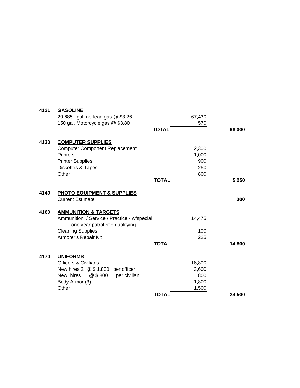| 4121 | <b>GASOLINE</b>                             |                       |        |
|------|---------------------------------------------|-----------------------|--------|
|      | 20,685 gal. no-lead gas @ \$3.26            | 67,430                |        |
|      | 150 gal. Motorcycle gas @ \$3.80            |                       | 570    |
|      |                                             | <b>TOTAL</b>          | 68,000 |
|      |                                             |                       |        |
| 4130 | <b>COMPUTER SUPPLIES</b>                    |                       |        |
|      | <b>Computer Component Replacement</b>       | 2,300                 |        |
|      | <b>Printers</b>                             | 1,000                 |        |
|      | <b>Printer Supplies</b>                     |                       | 900    |
|      | Diskettes & Tapes                           |                       | 250    |
|      | Other                                       |                       | 800    |
|      |                                             | <b>TOTAL</b>          | 5,250  |
| 4140 | <b>PHOTO EQUIPMENT &amp; SUPPLIES</b>       |                       |        |
|      | <b>Current Estimate</b>                     |                       | 300    |
|      |                                             |                       |        |
| 4160 | <b>AMMUNITION &amp; TARGETS</b>             |                       |        |
|      | Ammunition / Service / Practice - w/special | 14,475                |        |
|      | one year patrol rifle qualifying            |                       |        |
|      | <b>Cleaning Supplies</b>                    |                       | 100    |
|      | Armorer's Repair Kit                        |                       | 225    |
|      |                                             | <b>TOTAL</b>          | 14,800 |
| 4170 | <b>UNIFORMS</b>                             |                       |        |
|      | <b>Officers &amp; Civilians</b>             | 16,800                |        |
|      | New hires $2 \t@ 1,800$ per officer         | 3,600                 |        |
|      | per civilian<br>New hires 1 @ \$800         |                       | 800    |
|      |                                             |                       |        |
|      | Body Armor (3)<br>Other                     | 1,800                 |        |
|      |                                             | 1,500<br><b>TOTAL</b> | 24,500 |
|      |                                             |                       |        |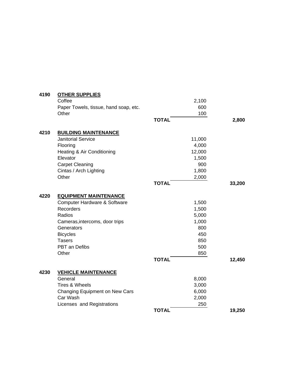| 4190 | <b>OTHER SUPPLIES</b>                 |              |        |        |
|------|---------------------------------------|--------------|--------|--------|
|      | Coffee                                |              | 2,100  |        |
|      | Paper Towels, tissue, hand soap, etc. |              | 600    |        |
|      | Other                                 |              | 100    |        |
|      |                                       | <b>TOTAL</b> |        | 2,800  |
| 4210 | <b>BUILDING MAINTENANCE</b>           |              |        |        |
|      | <b>Janitorial Service</b>             |              | 11,000 |        |
|      | Flooring                              |              | 4,000  |        |
|      | Heating & Air Conditioning            |              | 12,000 |        |
|      | Elevator                              |              | 1,500  |        |
|      | <b>Carpet Cleaning</b>                |              | 900    |        |
|      | Cintas / Arch Lighting                |              | 1,800  |        |
|      | Other                                 |              | 2,000  |        |
|      |                                       | <b>TOTAL</b> |        | 33,200 |
| 4220 | <b>EQUIPMENT MAINTENANCE</b>          |              |        |        |
|      | Computer Hardware & Software          |              | 1,500  |        |
|      | Recorders                             |              | 1,500  |        |
|      | Radios                                |              | 5,000  |        |
|      | Cameras, intercoms, door trips        |              | 1,000  |        |
|      | Generators                            |              | 800    |        |
|      | <b>Bicycles</b>                       |              | 450    |        |
|      | <b>Tasers</b>                         |              | 850    |        |
|      | PBT an Defibs                         |              | 500    |        |
|      | Other                                 |              | 850    |        |
|      |                                       | <b>TOTAL</b> |        | 12,450 |
| 4230 | <b>VEHICLE MAINTENANCE</b>            |              |        |        |
|      | General                               |              | 8,000  |        |
|      | Tires & Wheels                        |              | 3,000  |        |
|      | Changing Equipment on New Cars        |              | 6,000  |        |
|      | Car Wash                              |              | 2,000  |        |
|      | Licenses and Registrations            |              | 250    |        |
|      |                                       | <b>TOTAL</b> |        | 19,250 |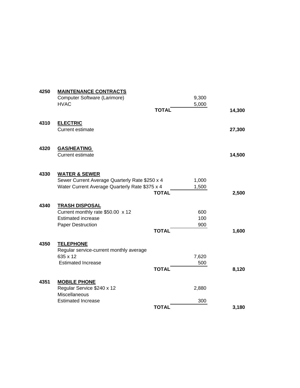| 4250 | <b>MAINTENANCE CONTRACTS</b>                      |              |       |        |
|------|---------------------------------------------------|--------------|-------|--------|
|      | Computer Software (Larimore)                      |              | 9,300 |        |
|      | <b>HVAC</b>                                       |              | 5,000 |        |
|      |                                                   | <b>TOTAL</b> |       | 14,300 |
| 4310 | <b>ELECTRIC</b>                                   |              |       |        |
|      | <b>Current estimate</b>                           |              |       | 27,300 |
| 4320 | <b>GAS/HEATING</b>                                |              |       |        |
|      | <b>Current estimate</b>                           |              |       | 14,500 |
| 4330 | <b>WATER &amp; SEWER</b>                          |              |       |        |
|      | Sewer Current Average Quarterly Rate \$250 x 4    |              | 1,000 |        |
|      | Water Current Average Quarterly Rate \$375 x 4    |              | 1,500 |        |
|      |                                                   | <b>TOTAL</b> |       | 2,500  |
| 4340 | <b>TRASH DISPOSAL</b>                             |              |       |        |
|      | Current monthly rate \$50.00 x 12                 |              | 600   |        |
|      | <b>Estimated increase</b>                         |              | 100   |        |
|      | <b>Paper Destruction</b>                          | <b>TOTAL</b> | 900   | 1,600  |
| 4350 | <b>TELEPHONE</b>                                  |              |       |        |
|      | Regular service-current monthly average           |              |       |        |
|      | 635 x 12                                          |              | 7,620 |        |
|      | <b>Estimated Increase</b>                         |              | 500   |        |
|      |                                                   | <b>TOTAL</b> |       | 8,120  |
| 4351 | <b>MOBILE PHONE</b><br>Regular Service \$240 x 12 |              | 2,880 |        |
|      | <b>Miscellaneous</b>                              |              |       |        |
|      | <b>Estimated Increase</b>                         |              | 300   |        |
|      |                                                   | <b>TOTAL</b> |       | 3,180  |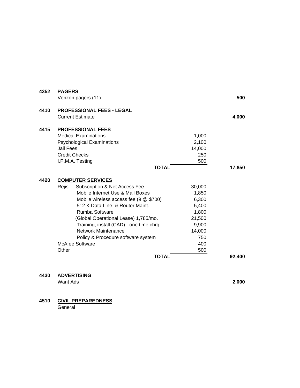| 4352 | <b>PAGERS</b><br>Verizon pagers (11)                 |        | 500    |
|------|------------------------------------------------------|--------|--------|
| 4410 | PROFESSIONAL FEES - LEGAL<br><b>Current Estimate</b> |        | 4,000  |
| 4415 | <b>PROFESSIONAL FEES</b>                             |        |        |
|      | <b>Medical Examinations</b>                          | 1,000  |        |
|      | <b>Psychological Examinations</b>                    | 2,100  |        |
|      | Jail Fees                                            | 14,000 |        |
|      | <b>Credit Checks</b>                                 | 250    |        |
|      | I.P.M.A. Testing                                     | 500    |        |
|      | <b>TOTAL</b>                                         |        | 17,850 |
|      |                                                      |        |        |
| 4420 | <b>COMPUTER SERVICES</b>                             |        |        |
|      | Rejis -- Subscription & Net Access Fee               | 30,000 |        |
|      | Mobile Internet Use & Mail Boxes                     | 1,850  |        |
|      | Mobile wireless access fee (9 @ \$700)               | 6,300  |        |
|      | 512 K Data Line & Router Maint.                      | 5,400  |        |
|      | Rumba Software                                       | 1,800  |        |
|      | (Global Operational Lease) 1,785/mo.                 | 21,500 |        |
|      | Training, install (CAD) - one time chrg.             | 9,900  |        |
|      | Network Maintenance                                  | 14,000 |        |
|      | Policy & Procedure software system                   | 750    |        |
|      | <b>McAfee Software</b>                               | 400    |        |
|      | Other                                                | 500    |        |
|      | <b>TOTAL</b>                                         |        | 92,400 |
|      |                                                      |        |        |

**4430 ADVERTISING**

Want Ads **2,000**

## **4510 CIVIL PREPAREDNESS**

General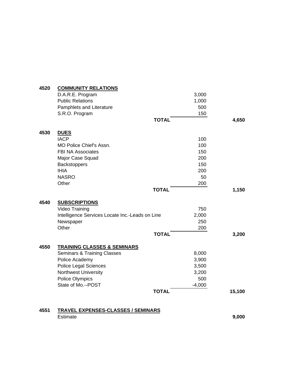| 4520 | <b>COMMUNITY RELATIONS</b>                      |              |          |        |
|------|-------------------------------------------------|--------------|----------|--------|
|      | D.A.R.E. Program                                |              | 3,000    |        |
|      | <b>Public Relations</b>                         |              | 1,000    |        |
|      | Pamphlets and Literature                        |              | 500      |        |
|      | S.R.O. Program                                  |              | 150      |        |
|      |                                                 | <b>TOTAL</b> |          | 4,650  |
| 4530 | <b>DUES</b>                                     |              |          |        |
|      | <b>IACP</b>                                     |              | 100      |        |
|      | MO Police Chief's Assn.                         |              | 100      |        |
|      | <b>FBI NA Associates</b>                        |              | 150      |        |
|      | Major Case Squad                                |              | 200      |        |
|      | <b>Backstoppers</b>                             |              | 150      |        |
|      | <b>IHIA</b>                                     |              | 200      |        |
|      | <b>NASRO</b>                                    |              | 50       |        |
|      | Other                                           |              | 200      |        |
|      |                                                 | <b>TOTAL</b> |          | 1,150  |
| 4540 | <b>SUBSCRIPTIONS</b>                            |              |          |        |
|      | Video Training                                  |              | 750      |        |
|      | Intelligence Services Locate Inc.-Leads on Line |              | 2,000    |        |
|      | Newspaper                                       |              | 250      |        |
|      | Other                                           |              | 200      |        |
|      |                                                 | <b>TOTAL</b> |          | 3,200  |
| 4550 | <b>TRAINING CLASSES &amp; SEMINARS</b>          |              |          |        |
|      | <b>Seminars &amp; Training Classes</b>          |              | 8,000    |        |
|      | Police Academy                                  |              | 3,900    |        |
|      | Police Legal Sciences                           |              | 3,500    |        |
|      | Northwest University                            |              | 3,200    |        |
|      | Police Olympics                                 |              | 500      |        |
|      | State of Mo.--POST                              |              | $-4,000$ |        |
|      |                                                 | <b>TOTAL</b> |          | 15,100 |
| 4551 | <b>TRAVEL EXPENSES-CLASSES / SEMINARS</b>       |              |          |        |
|      | Estimate                                        |              |          | 9,000  |
|      |                                                 |              |          |        |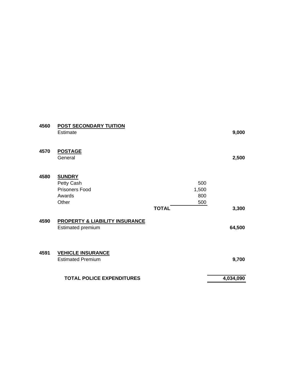| 4560 | <b>POST SECONDARY TUITION</b><br><b>Estimate</b>                        |              |                            | 9,000     |
|------|-------------------------------------------------------------------------|--------------|----------------------------|-----------|
| 4570 | <b>POSTAGE</b><br>General                                               |              |                            | 2,500     |
| 4580 | <b>SUNDRY</b><br>Petty Cash<br><b>Prisoners Food</b><br>Awards<br>Other | <b>TOTAL</b> | 500<br>1,500<br>800<br>500 | 3,300     |
| 4590 | PROPERTY & LIABILITY INSURANCE<br><b>Estimated premium</b>              |              |                            | 64,500    |
| 4591 | <b>VEHICLE INSURANCE</b><br><b>Estimated Premium</b>                    |              |                            | 9,700     |
|      | <b>TOTAL POLICE EXPENDITURES</b>                                        |              |                            | 4,034,090 |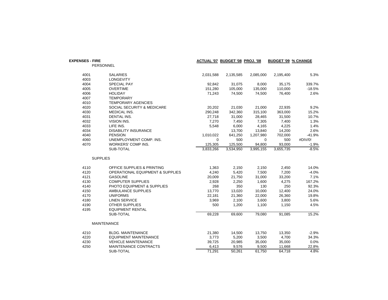| <b>EXPENSES - FIRE</b> | <b>PERSONNEL</b>                            |             | ACTUAL '07 BUDGET '08 PROJ. '08 |           | <b>BUDGET '09 % CHANGE</b> |          |
|------------------------|---------------------------------------------|-------------|---------------------------------|-----------|----------------------------|----------|
| 4001                   | <b>SALARIES</b>                             | 2,031,588   | 2,135,585                       | 2,085,000 | 2,195,400                  | 5.3%     |
| 4003                   | <b>LONGEVITY</b>                            |             |                                 |           |                            |          |
| 4004                   | <b>SPECIAL PAY</b>                          | 92,842      | 31,075                          | 8,000     | 35,175                     | 339.7%   |
| 4005                   | <b>OVERTIME</b>                             | 151,280     | 105,000                         | 135,000   | 110,000                    | $-18.5%$ |
| 4006                   | <b>HOLIDAY</b>                              | 71,243      | 74,500                          | 74,500    | 76,400                     | 2.6%     |
| 4007                   | <b>TEMPORARY</b>                            |             |                                 |           |                            |          |
| 4010                   | <b>TEMPORARY AGENCIES</b>                   |             |                                 |           |                            |          |
| 4020                   | SOCIAL SECURITY & MEDICARE                  | 20,202      | 21,030                          | 21,000    | 22,935                     | 9.2%     |
| 4030                   | MEDICAL INS.                                | 290,248     | 342,360                         | 315,100   | 363,000                    | 15.2%    |
| 4031                   | <b>DENTAL INS.</b>                          | 27,718      | 31,000                          | 28,465    | 31,500                     | 10.7%    |
| 4032                   | <b>VISION INS.</b>                          | 7,270       | 7,450                           | 7,305     | 7,400                      | 1.3%     |
| 4033                   | LIFE INS.                                   | 5,548       | 6,000                           | 4,165     | 4,225                      | 1.4%     |
| 4034                   | <b>DISABILITY INSURANCE</b>                 |             | 13,700                          | 13,840    | 14,200                     | 2.6%     |
| 4040                   | <b>PENSION</b>                              | 1,010,022   | 641,250                         | 1,207,980 | 702,000                    | $-41.9%$ |
| 4060                   | UNEMPLOYMENT COMP. INS.                     | $\mathbf 0$ | 500                             | $\Omega$  | 500                        | #DIV/0!  |
| 4070                   | <b>WORKERS' COMP INS.</b>                   | 125,305     | 125,500                         | 94,800    | 93,000                     | $-1.9%$  |
|                        | SUB-TOTAL                                   | 3,833,266   | 3,534,950                       | 3,995,155 | 3,655,735                  | $-8.5%$  |
|                        | <b>SUPPLIES</b>                             |             |                                 |           |                            |          |
| 4110                   | OFFICE SUPPLIES & PRINTING                  | 1,363       | 2,150                           | 2,150     | 2,450                      | 14.0%    |
| 4120                   | <b>OPERATIONAL EQUIPMENT &amp; SUPPLIES</b> | 4,240       | 5,420                           | 7,500     | 7,200                      | $-4.0%$  |
| 4121                   | <b>GASOLINE</b>                             | 20,009      | 21,750                          | 31,000    | 33,200                     | 7.1%     |
| 4130                   | <b>COMPUTER SUPPLIES</b>                    | 2,928       | 2,250                           | 1,600     | 4,275                      | 167.2%   |
| 4140                   | PHOTO EQUIPMENT & SUPPLIES                  | 268         | 350                             | 130       | 250                        | 92.3%    |
| 4150                   | AMBULANCE SUPPLIES                          | 13,770      | 13,020                          | 10,000    | 12,400                     | 24.0%    |
| 4170                   | <b>UNIFORMS</b>                             | 22,181      | 21,360                          | 22,000    | 26,360                     | 19.8%    |
| 4180                   | <b>LINEN SERVICE</b>                        | 3,969       | 2,100                           | 3,600     | 3,800                      | 5.6%     |
| 4190                   | <b>OTHER SUPPLIES</b>                       | 500         | 1,200                           | 1,100     | 1,150                      | 4.5%     |
| 4195                   | <b>EQUIPMENT RENTAL</b>                     |             |                                 |           |                            |          |
|                        | SUB-TOTAL                                   | 69,228      | 69,600                          | 79,080    | 91,085                     | 15.2%    |
|                        | <b>MAINTENANCE</b>                          |             |                                 |           |                            |          |
| 4210                   | <b>BLDG. MAINTENANCE</b>                    | 21,380      | 14,500                          | 13,750    | 13,350                     | $-2.9%$  |
| 4220                   | <b>EQUIPMENT MAINTENANCE</b>                | 3,773       | 5,200                           | 3,500     | 4,700                      | 34.3%    |
| 4230                   | <b>VEHICLE MAINTENANCE</b>                  | 39,725      | 20,985                          | 35,000    | 35,000                     | 0.0%     |
| 4250                   | <b>MAINTENANCE CONTRACTS</b>                | 6,413       | 9,576                           | 9,500     | 11,668                     | 22.8%    |
|                        | SUB-TOTAL                                   | 71,291      | 50,261                          | 61,750    | 64.718                     | 4.8%     |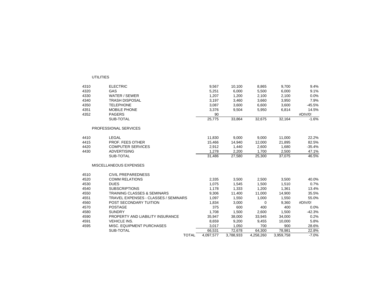| 4310 | <b>ELECTRIC</b>                             | 9,567     | 10,100    | 8,865     | 9,700     | 9.4%     |
|------|---------------------------------------------|-----------|-----------|-----------|-----------|----------|
| 4320 | GAS                                         | 5,251     | 6,000     | 5,500     | 6,000     | 9.1%     |
| 4330 | WATER / SEWER                               | 1,207     | 1,200     | 2,100     | 2,100     | 0.0%     |
| 4340 | <b>TRASH DISPOSAL</b>                       | 3,197     | 3,460     | 3,660     | 3,950     | 7.9%     |
| 4350 | <b>TELEPHONE</b>                            | 3,087     | 3,600     | 6,600     | 3,600     | $-45.5%$ |
| 4351 | <b>MOBILE PHONE</b>                         | 3,376     | 9,504     | 5,950     | 6,814     | 14.5%    |
| 4352 | <b>PAGERS</b>                               | 90        |           |           |           | #DIV/0!  |
|      | SUB-TOTAL                                   | 25,775    | 33,864    | 32,675    | 32,164    | $-1.6%$  |
|      | PROFESSIONAL SERVICES                       |           |           |           |           |          |
| 4410 | LEGAL                                       | 11,830    | 9,000     | 9,000     | 11,000    | 22.2%    |
| 4415 | PROF. FEES OTHER                            | 15,466    | 14,940    | 12,000    | 21,895    | 82.5%    |
| 4420 | <b>COMPUTER SERVICES</b>                    | 2,912     | 1,440     | 2,600     | 1,680     | $-35.4%$ |
| 4430 | <b>ADVERTISING</b>                          | 1.278     | 2,200     | 1.700     | 2,500     | 47.1%    |
|      | SUB-TOTAL                                   | 31,486    | 27,580    | 25,300    | 37,075    | 46.5%    |
|      | MISCELLANEOUS EXPENSES                      |           |           |           |           |          |
| 4510 | <b>CIVIL PREPAREDNESS</b>                   |           |           |           |           |          |
| 4520 | <b>COMM RELATIONS</b>                       | 2,335     | 3,500     | 2,500     | 3,500     | 40.0%    |
| 4530 | <b>DUES</b>                                 | 1,075     | 1,545     | 1,500     | 1,510     | 0.7%     |
| 4540 | <b>SUBSCRIPTIONS</b>                        | 1,178     | 1,333     | 1,200     | 1,361     | 13.4%    |
| 4550 | <b>TRAINING CLASSES &amp; SEMINARS</b>      | 9,306     | 11,400    | 11,000    | 14,900    | 35.5%    |
| 4551 | <b>TRAVEL EXPENSES - CLASSES / SEMINARS</b> | 1.097     | 1,550     | 1,000     | 1,550     | 55.0%    |
| 4560 | POST SECONDARY TUITION                      | 1,834     | 3,000     | 0         | 9,360     | #DIV/0!  |
| 4570 | <b>POSTAGE</b>                              | 375       | 600       | 400       | 400       | 0.0%     |
| 4580 | <b>SUNDRY</b>                               | 1,708     | 1,500     | 2,600     | 1,500     | $-42.3%$ |
| 4590 | PROPERTY AND LIABILITY INSURANCE            | 35,947    | 38,000    | 33,945    | 34,000    | 0.2%     |
| 4591 | <b>VEHICLE INS.</b>                         | 8,659     | 9,200     | 9,455     | 10,000    | 5.8%     |
| 4595 | MISC. EQUIPMENT PURCHASES                   | 3,017     | 1,050     | 700       | 900       | 28.6%    |
|      | SUB-TOTAL                                   | 66,531    | 72,678    | 64,300    | 78,981    | 22.8%    |
|      | <b>TOTAL</b>                                | 4.097.577 | 3,788,933 | 4,258,260 | 3.959.758 | $-7.0%$  |

UTILITIES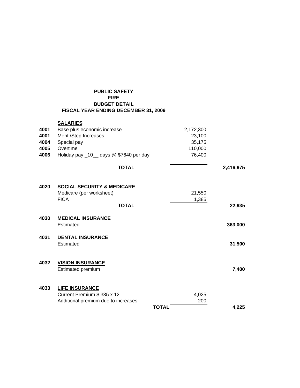| <b>PUBLIC SAFETY</b>                 |
|--------------------------------------|
| <b>FIRE</b>                          |
| <b>BUDGET DETAIL</b>                 |
| FISCAL YEAR ENDING DECEMBER 31, 2009 |

|      | <b>SALARIES</b>                                                   |              |           |
|------|-------------------------------------------------------------------|--------------|-----------|
| 4001 | Base plus economic increase                                       | 2,172,300    |           |
| 4001 | Merit /Step Increases                                             | 23,100       |           |
| 4004 | Special pay                                                       | 35,175       |           |
| 4005 | Overtime                                                          | 110,000      |           |
| 4006 | Holiday pay _10_ days @ \$7640 per day                            | 76,400       |           |
|      | <b>TOTAL</b>                                                      |              | 2,416,975 |
| 4020 | <b>SOCIAL SECURITY &amp; MEDICARE</b><br>Medicare (per worksheet) | 21,550       |           |
|      | <b>FICA</b>                                                       | 1,385        |           |
|      | <b>TOTAL</b>                                                      |              | 22,935    |
| 4030 | <b>MEDICAL INSURANCE</b><br>Estimated                             |              | 363,000   |
| 4031 | <b>DENTAL INSURANCE</b>                                           |              |           |
|      | Estimated                                                         |              | 31,500    |
| 4032 | <b>VISION INSURANCE</b>                                           |              |           |
|      | Estimated premium                                                 |              | 7,400     |
| 4033 | <b>LIFE INSURANCE</b>                                             |              |           |
|      | Current Premium \$335 x 12                                        | 4,025        |           |
|      | Additional premium due to increases                               |              | 200       |
|      |                                                                   | <b>TOTAL</b> | 4.225     |
|      |                                                                   |              |           |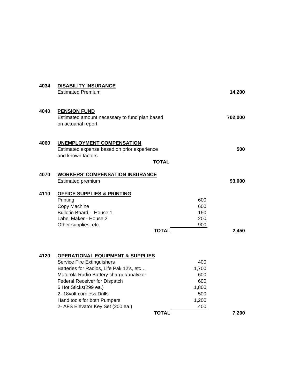| 4034 | <b>DISABILITY INSURANCE</b><br><b>Estimated Premium</b>                                                                                                                                                                                                                                                                            |                                                                            | 14,200  |
|------|------------------------------------------------------------------------------------------------------------------------------------------------------------------------------------------------------------------------------------------------------------------------------------------------------------------------------------|----------------------------------------------------------------------------|---------|
| 4040 | <b>PENSION FUND</b><br>Estimated amount necessary to fund plan based<br>on actuarial report.                                                                                                                                                                                                                                       |                                                                            | 702,000 |
| 4060 | <b>UNEMPLOYMENT COMPENSATION</b><br>Estimated expense based on prior experience<br>and known factors                                                                                                                                                                                                                               | <b>TOTAL</b>                                                               | 500     |
| 4070 | <b>WORKERS' COMPENSATION INSURANCE</b><br><b>Estimated premium</b>                                                                                                                                                                                                                                                                 |                                                                            | 93,000  |
| 4110 | <b>OFFICE SUPPLIES &amp; PRINTING</b><br>Printing<br>Copy Machine<br>Bulletin Board - House 1<br>Label Maker - House 2<br>Other supplies, etc.                                                                                                                                                                                     | 600<br>600<br>150<br>200<br>900<br><b>TOTAL</b>                            | 2,450   |
| 4120 | <b>OPERATIONAL EQUIPMENT &amp; SUPPLIES</b><br>Service Fire Extinguishers<br>Batteries for Radios, Life Pak 12's, etc<br>Motorola Radio Battery charger/analyzer<br><b>Federal Receiver for Dispatch</b><br>6 Hot Sticks(299 ea.)<br>2- 18volt cordless Drills<br>Hand tools for both Pumpers<br>2- AFS Elevator Key Set (200 ea.) | 400<br>1,700<br>600<br>600<br>1,800<br>500<br>1,200<br>400<br><b>TOTAL</b> | 7,200   |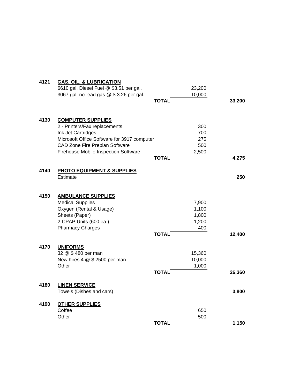| 4121 | <b>GAS, OIL, &amp; LUBRICATION</b>          |              |        |        |
|------|---------------------------------------------|--------------|--------|--------|
|      | 6610 gal. Diesel Fuel @ \$3.51 per gal.     |              | 23,200 |        |
|      | 3067 gal. no-lead gas @ \$3.26 per gal.     |              | 10,000 |        |
|      |                                             | <b>TOTAL</b> |        | 33,200 |
| 4130 | <b>COMPUTER SUPPLIES</b>                    |              |        |        |
|      | 2 - Printers/Fax replacements               |              | 300    |        |
|      | Ink Jet Cartridges                          |              | 700    |        |
|      | Microsoft Office Software for 3917 computer |              | 275    |        |
|      | CAD Zone Fire Preplan Software              |              | 500    |        |
|      | Firehouse Mobile Inspection Software        |              | 2,500  |        |
|      |                                             | <b>TOTAL</b> |        | 4,275  |
| 4140 | <b>PHOTO EQUIPMENT &amp; SUPPLIES</b>       |              |        |        |
|      | Estimate                                    |              |        | 250    |
| 4150 | <b>AMBULANCE SUPPLIES</b>                   |              |        |        |
|      | <b>Medical Supplies</b>                     |              | 7,900  |        |
|      | Oxygen (Rental & Usage)                     |              | 1,100  |        |
|      | Sheets (Paper)                              |              | 1,800  |        |
|      | 2-CPAP Units (600 ea.)                      |              | 1,200  |        |
|      | <b>Pharmacy Charges</b>                     |              | 400    |        |
|      |                                             | <b>TOTAL</b> |        | 12,400 |
| 4170 | <b>UNIFORMS</b>                             |              |        |        |
|      | 32 @ \$480 per man                          |              | 15,360 |        |
|      | New hires $4 \& 12500$ per man              |              | 10,000 |        |
|      | Other                                       | <b>TOTAL</b> | 1,000  | 26,360 |
| 4180 | <b>LINEN SERVICE</b>                        |              |        |        |
|      | Towels (Dishes and cars)                    |              |        | 3,800  |
| 4190 | <b>OTHER SUPPLIES</b>                       |              |        |        |
|      | Coffee                                      |              | 650    |        |
|      | Other                                       |              | 500    |        |
|      |                                             | <b>TOTAL</b> |        | 1,150  |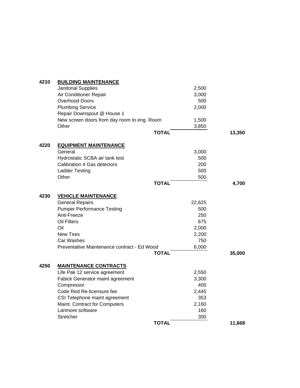| <b>BUILDING MAINTENANCE</b> |                                                                                                                                                                                                                                                                                                                                                                                                                                                                                                                                             |                                                                                                                                                                              |
|-----------------------------|---------------------------------------------------------------------------------------------------------------------------------------------------------------------------------------------------------------------------------------------------------------------------------------------------------------------------------------------------------------------------------------------------------------------------------------------------------------------------------------------------------------------------------------------|------------------------------------------------------------------------------------------------------------------------------------------------------------------------------|
| <b>Janitorial Supplies</b>  | 2,500                                                                                                                                                                                                                                                                                                                                                                                                                                                                                                                                       |                                                                                                                                                                              |
| Air Conditioner Repair      | 3,000                                                                                                                                                                                                                                                                                                                                                                                                                                                                                                                                       |                                                                                                                                                                              |
| <b>Overhood Doors</b>       | 500                                                                                                                                                                                                                                                                                                                                                                                                                                                                                                                                         |                                                                                                                                                                              |
| <b>Plumbing Service</b>     | 2,000                                                                                                                                                                                                                                                                                                                                                                                                                                                                                                                                       |                                                                                                                                                                              |
|                             |                                                                                                                                                                                                                                                                                                                                                                                                                                                                                                                                             |                                                                                                                                                                              |
|                             |                                                                                                                                                                                                                                                                                                                                                                                                                                                                                                                                             |                                                                                                                                                                              |
| Other                       |                                                                                                                                                                                                                                                                                                                                                                                                                                                                                                                                             |                                                                                                                                                                              |
|                             |                                                                                                                                                                                                                                                                                                                                                                                                                                                                                                                                             | 13,350                                                                                                                                                                       |
|                             |                                                                                                                                                                                                                                                                                                                                                                                                                                                                                                                                             |                                                                                                                                                                              |
| General                     |                                                                                                                                                                                                                                                                                                                                                                                                                                                                                                                                             |                                                                                                                                                                              |
|                             | 500                                                                                                                                                                                                                                                                                                                                                                                                                                                                                                                                         |                                                                                                                                                                              |
|                             | 200                                                                                                                                                                                                                                                                                                                                                                                                                                                                                                                                         |                                                                                                                                                                              |
|                             | 500                                                                                                                                                                                                                                                                                                                                                                                                                                                                                                                                         |                                                                                                                                                                              |
| Other                       | 500                                                                                                                                                                                                                                                                                                                                                                                                                                                                                                                                         |                                                                                                                                                                              |
|                             |                                                                                                                                                                                                                                                                                                                                                                                                                                                                                                                                             | 4,700                                                                                                                                                                        |
|                             |                                                                                                                                                                                                                                                                                                                                                                                                                                                                                                                                             |                                                                                                                                                                              |
|                             |                                                                                                                                                                                                                                                                                                                                                                                                                                                                                                                                             |                                                                                                                                                                              |
|                             |                                                                                                                                                                                                                                                                                                                                                                                                                                                                                                                                             |                                                                                                                                                                              |
| Anti-Freeze                 | 250                                                                                                                                                                                                                                                                                                                                                                                                                                                                                                                                         |                                                                                                                                                                              |
| <b>Oil Filters</b>          | 675                                                                                                                                                                                                                                                                                                                                                                                                                                                                                                                                         |                                                                                                                                                                              |
| Oil                         |                                                                                                                                                                                                                                                                                                                                                                                                                                                                                                                                             |                                                                                                                                                                              |
| <b>New Tires</b>            |                                                                                                                                                                                                                                                                                                                                                                                                                                                                                                                                             |                                                                                                                                                                              |
| Car Washes                  |                                                                                                                                                                                                                                                                                                                                                                                                                                                                                                                                             |                                                                                                                                                                              |
|                             |                                                                                                                                                                                                                                                                                                                                                                                                                                                                                                                                             |                                                                                                                                                                              |
|                             |                                                                                                                                                                                                                                                                                                                                                                                                                                                                                                                                             | 35,000                                                                                                                                                                       |
|                             |                                                                                                                                                                                                                                                                                                                                                                                                                                                                                                                                             |                                                                                                                                                                              |
|                             |                                                                                                                                                                                                                                                                                                                                                                                                                                                                                                                                             |                                                                                                                                                                              |
|                             |                                                                                                                                                                                                                                                                                                                                                                                                                                                                                                                                             |                                                                                                                                                                              |
|                             |                                                                                                                                                                                                                                                                                                                                                                                                                                                                                                                                             |                                                                                                                                                                              |
| Code Red Re-licensure fee   |                                                                                                                                                                                                                                                                                                                                                                                                                                                                                                                                             |                                                                                                                                                                              |
|                             | 353                                                                                                                                                                                                                                                                                                                                                                                                                                                                                                                                         |                                                                                                                                                                              |
|                             | 2,160                                                                                                                                                                                                                                                                                                                                                                                                                                                                                                                                       |                                                                                                                                                                              |
| Larimore software           | 160                                                                                                                                                                                                                                                                                                                                                                                                                                                                                                                                         |                                                                                                                                                                              |
| Stretcher                   | 300                                                                                                                                                                                                                                                                                                                                                                                                                                                                                                                                         |                                                                                                                                                                              |
|                             |                                                                                                                                                                                                                                                                                                                                                                                                                                                                                                                                             | 11,668                                                                                                                                                                       |
|                             | Repair Downspout @ House 1<br>New screen doors from day room to eng. Room<br><b>EQUIPMENT MAINTENANCE</b><br>Hydrostatic SCBA air tank test<br>Calibration 4 Gas detectors<br><b>Ladder Testing</b><br><b>VEHICLE MAINTENANCE</b><br><b>General Repairs</b><br><b>Pumper Performance Testing</b><br>Preventative Maintenance contract - Ed Wood<br><b>MAINTENANCE CONTRACTS</b><br>Life Pak 12 service agreement<br><b>Fabick Generator maint agreement</b><br>Compressor<br>CSI Telephone maint agreement<br>Maint. Contract for Computers | 1,500<br>3,850<br><b>TOTAL</b><br>3,000<br><b>TOTAL</b><br>22,625<br>500<br>2,000<br>2,200<br>750<br>6,000<br><b>TOTAL</b><br>2,550<br>3,300<br>400<br>2,445<br><b>TOTAL</b> |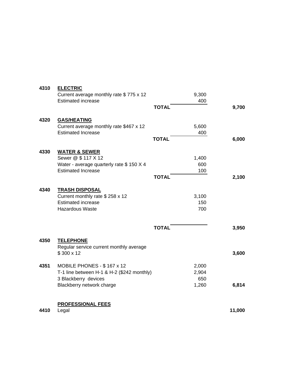| 4310 | <b>ELECTRIC</b>                              |              |            |        |
|------|----------------------------------------------|--------------|------------|--------|
|      | Current average monthly rate \$775 x 12      |              | 9,300      |        |
|      | <b>Estimated increase</b>                    |              | 400        |        |
|      |                                              | <b>TOTAL</b> |            | 9,700  |
|      |                                              |              |            |        |
| 4320 | <b>GAS/HEATING</b>                           |              |            |        |
|      | Current average monthly rate \$467 x 12      |              | 5,600      |        |
|      | <b>Estimated Increase</b>                    |              | 400        |        |
|      |                                              | <b>TOTAL</b> |            | 6,000  |
| 4330 | <b>WATER &amp; SEWER</b>                     |              |            |        |
|      | Sewer @ \$ 117 X 12                          |              | 1,400      |        |
|      | Water - average quarterly rate \$150 X 4     |              | 600        |        |
|      | <b>Estimated Increase</b>                    |              | 100        |        |
|      |                                              | <b>TOTAL</b> |            | 2,100  |
|      |                                              |              |            |        |
| 4340 | <b>TRASH DISPOSAL</b>                        |              |            |        |
|      | Current monthly rate \$258 x 12              |              | 3,100      |        |
|      | <b>Estimated increase</b><br>Hazardous Waste |              | 150<br>700 |        |
|      |                                              |              |            |        |
|      |                                              |              |            |        |
|      |                                              | <b>TOTAL</b> |            | 3,950  |
| 4350 | <b>TELEPHONE</b>                             |              |            |        |
|      | Regular service current monthly average      |              |            |        |
|      | \$300 x 12                                   |              |            | 3,600  |
|      |                                              |              |            |        |
| 4351 | MOBILE PHONES - \$167 x 12                   |              | 2,000      |        |
|      | T-1 line between H-1 & H-2 (\$242 monthly)   |              | 2,904      |        |
|      | 3 Blackberry devices                         |              | 650        |        |
|      | Blackberry network charge                    |              | 1,260      | 6,814  |
|      |                                              |              |            |        |
|      | <b>PROFESSIONAL FEES</b>                     |              |            |        |
| 4410 | Legal                                        |              |            | 11,000 |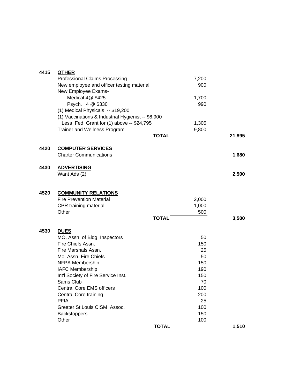| 4415 | <b>OTHER</b>                                       |              |       |        |
|------|----------------------------------------------------|--------------|-------|--------|
|      | <b>Professional Claims Processing</b>              |              | 7,200 |        |
|      | New employee and officer testing material          |              | 900   |        |
|      | New Employee Exams-                                |              |       |        |
|      | Medical 4@ \$425                                   |              | 1,700 |        |
|      | Psych. 4 @ \$330                                   |              | 990   |        |
|      | (1) Medical Physicals -- \$19,200                  |              |       |        |
|      | (1) Vaccinations & Industrial Hygienist -- \$6,900 |              |       |        |
|      | Less Fed. Grant for (1) above -- \$24,795          |              | 1,305 |        |
|      | <b>Trainer and Wellness Program</b>                |              | 9,800 |        |
|      |                                                    | <b>TOTAL</b> |       | 21,895 |
| 4420 | <b>COMPUTER SERVICES</b>                           |              |       |        |
|      | <b>Charter Communications</b>                      |              |       | 1,680  |
| 4430 | <b>ADVERTISING</b>                                 |              |       |        |
|      | Want Ads (2)                                       |              |       | 2,500  |
|      |                                                    |              |       |        |
| 4520 | <b>COMMUNITY RELATIONS</b>                         |              |       |        |
|      | <b>Fire Prevention Material</b>                    |              | 2,000 |        |
|      | CPR training material                              |              | 1,000 |        |
|      | Other                                              | <b>TOTAL</b> | 500   | 3,500  |
|      |                                                    |              |       |        |
| 4530 | <b>DUES</b><br>MO. Assn. of Bldg. Inspectors       |              | 50    |        |
|      | Fire Chiefs Assn.                                  |              | 150   |        |
|      | Fire Marshals Assn.                                |              | 25    |        |
|      | Mo. Assn. Fire Chiefs                              |              | 50    |        |
|      | NFPA Membership                                    |              | 150   |        |
|      | <b>IAFC Membership</b>                             |              | 190   |        |
|      | Int'l Society of Fire Service Inst.                |              | 150   |        |
|      | Sams Club                                          |              | 70    |        |
|      | <b>Central Core EMS officers</b>                   |              | 100   |        |
|      | <b>Central Core training</b>                       |              | 200   |        |
|      | <b>PFIA</b>                                        |              | 25    |        |
|      | Greater St. Louis CISM Assoc.                      |              | 100   |        |
|      | <b>Backstoppers</b>                                |              | 150   |        |
|      | Other                                              |              | 100   |        |
|      |                                                    | <b>TOTAL</b> |       | 1,510  |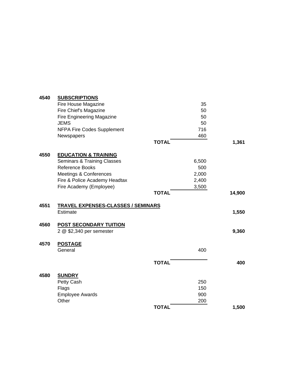| 4540 | <b>SUBSCRIPTIONS</b>                      |              |        |
|------|-------------------------------------------|--------------|--------|
|      | Fire House Magazine                       | 35           |        |
|      | Fire Chief's Magazine                     | 50           |        |
|      | Fire Engineering Magazine                 | 50           |        |
|      | <b>JEMS</b>                               | 50           |        |
|      | <b>NFPA Fire Codes Supplement</b>         | 716          |        |
|      | Newspapers                                | 460          |        |
|      |                                           | <b>TOTAL</b> | 1,361  |
| 4550 | <b>EDUCATION &amp; TRAINING</b>           |              |        |
|      | <b>Seminars &amp; Training Classes</b>    | 6,500        |        |
|      | Reference Books                           | 500          |        |
|      | <b>Meetings &amp; Conferences</b>         | 2,000        |        |
|      | Fire & Police Academy Headtax             | 2,400        |        |
|      | Fire Academy (Employee)                   | 3,500        |        |
|      |                                           | <b>TOTAL</b> | 14,900 |
| 4551 | <b>TRAVEL EXPENSES-CLASSES / SEMINARS</b> |              |        |
|      | Estimate                                  |              | 1,550  |
| 4560 | <b>POST SECONDARY TUITION</b>             |              |        |
|      | 2 @ \$2,340 per semester                  |              | 9,360  |
| 4570 | <b>POSTAGE</b>                            |              |        |
|      | General                                   | 400          |        |
|      |                                           | <b>TOTAL</b> | 400    |
|      |                                           |              |        |
| 4580 | <b>SUNDRY</b>                             |              |        |
|      | Petty Cash                                | 250          |        |
|      | Flags                                     | 150          |        |
|      | <b>Employee Awards</b>                    | 900          |        |
|      | Other                                     | 200          |        |
|      |                                           | <b>TOTAL</b> | 1,500  |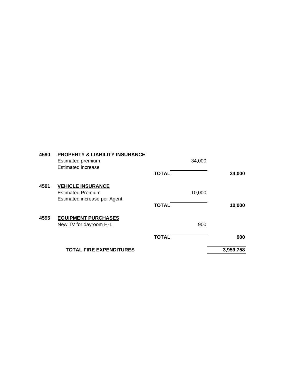| 4590 | <b>PROPERTY &amp; LIABILITY INSURANCE</b><br>Estimated premium |              | 34,000 |           |
|------|----------------------------------------------------------------|--------------|--------|-----------|
|      | <b>Estimated increase</b>                                      |              |        |           |
|      |                                                                | <b>TOTAL</b> |        | 34,000    |
| 4591 | <b>VEHICLE INSURANCE</b>                                       |              |        |           |
|      | <b>Estimated Premium</b>                                       |              | 10,000 |           |
|      | Estimated increase per Agent                                   | <b>TOTAL</b> |        | 10,000    |
| 4595 | <b>EQUIPMENT PURCHASES</b>                                     |              |        |           |
|      | New TV for dayroom H-1                                         |              | 900    |           |
|      |                                                                | <b>TOTAL</b> |        | 900       |
|      | <b>TOTAL FIRE EXPENDITURES</b>                                 |              |        | 3,959,758 |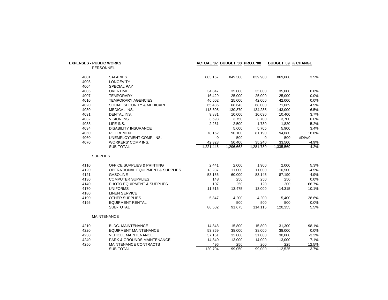|      | <b>EXPENSES - PUBLIC WORKS</b>              |           | ACTUAL '07 BUDGET '08 PROJ. '08 |           | <b>BUDGET '09 % CHANGE</b> |         |
|------|---------------------------------------------|-----------|---------------------------------|-----------|----------------------------|---------|
|      | <b>PERSONNEL</b>                            |           |                                 |           |                            |         |
| 4001 | <b>SALARIES</b>                             | 803,157   | 849,300                         | 839,900   | 869,000                    | 3.5%    |
| 4003 | <b>LONGEVITY</b>                            |           |                                 |           |                            |         |
| 4004 | <b>SPECIAL PAY</b>                          |           |                                 |           |                            |         |
| 4005 | <b>OVERTIME</b>                             | 34,847    | 35,000                          | 35,000    | 35,000                     | 0.0%    |
| 4007 | <b>TEMPORARY</b>                            | 16,429    | 25,000                          | 25,000    | 25,000                     | 0.0%    |
| 4010 | <b>TEMPORARY AGENCIES</b>                   | 46,602    | 25,000                          | 42,000    | 42,000                     | 0.0%    |
| 4020 | SOCIAL SECURITY & MEDICARE                  | 65,486    | 68,643                          | 68,000    | 71,069                     | 4.5%    |
| 4030 | MEDICAL INS.                                | 118,605   | 130,870                         | 134,285   | 143,000                    | 6.5%    |
| 4031 | DENTAL INS.                                 | 9,881     | 10,000                          | 10,030    | 10,400                     | 3.7%    |
| 4032 | VISION INS.                                 | 3,698     | 3,750                           | 3,700     | 3,700                      | 0.0%    |
| 4033 | LIFE INS.                                   | 2,261     | 2,500                           | 1,730     | 1,820                      | 5.2%    |
| 4034 | <b>DISABILITY INSURANCE</b>                 |           | 5,600                           | 5,705     | 5,900                      | 3.4%    |
| 4050 | <b>RETIREMENT</b>                           | 78,152    | 90,100                          | 81,190    | 94,680                     | 16.6%   |
| 4060 | UNEMPLOYMENT COMP. INS.                     | 0         | 500                             | 0         | 500                        | #DIV/0! |
| 4070 | WORKERS' COMP INS.                          | 42,328    | 50,400                          | 35,240    | 33,500                     | $-4.9%$ |
|      | SUB-TOTAL                                   | 1,221,446 | 1.296.663                       | 1,281,780 | 1,335,569                  | 4.2%    |
|      | <b>SUPPLIES</b>                             |           |                                 |           |                            |         |
| 4110 | <b>OFFICE SUPPLIES &amp; PRINTING</b>       | 2,441     | 2,000                           | 1,900     | 2,000                      | 5.3%    |
| 4120 | <b>OPERATIONAL EQUIPMENT &amp; SUPPLIES</b> | 13,287    | 11,000                          | 11,000    | 10,500                     | $-4.5%$ |
| 4121 | <b>GASOLINE</b>                             | 53,156    | 60,000                          | 83,145    | 87,190                     | 4.9%    |
| 4130 | <b>COMPUTER SUPPLIES</b>                    | 148       | 250                             | 250       | 250                        | 0.0%    |
| 4140 | PHOTO EQUIPMENT & SUPPLIES                  | 107       | 250                             | 120       | 200                        | 66.7%   |
| 4170 | <b>UNIFORMS</b>                             | 11,516    | 13,475                          | 13,000    | 14,315                     | 10.1%   |
| 4180 | <b>LINEN SERVICE</b>                        |           |                                 |           |                            |         |
| 4190 | <b>OTHER SUPPLIES</b>                       | 5,847     | 4,200                           | 4,200     | 5,400                      | 28.6%   |
| 4195 | <b>EQUIPMENT RENTAL</b>                     |           | 500                             | 500       | 500                        | 0.0%    |
|      | SUB-TOTAL                                   | 86,502    | 91,675                          | 114,115   | 120,355                    | 5.5%    |
|      | <b>MAINTENANCE</b>                          |           |                                 |           |                            |         |
| 4210 | <b>BLDG. MAINTENANCE</b>                    | 14,848    | 15,800                          | 15,800    | 31,300                     | 98.1%   |
| 4220 | <b>EQUIPMENT MAINTENANCE</b>                | 53,369    | 38,000                          | 38,000    | 38,000                     | 0.0%    |
| 4230 | <b>VEHICLE MAINTENANCE</b>                  | 37,151    | 32,000                          | 31,000    | 30,000                     | $-3.2%$ |
| 4240 | <b>PARK &amp; GROUNDS MAINTENANCE</b>       | 14,840    | 13,000                          | 14,000    | 13,000                     | $-7.1%$ |
| 4250 | <b>MAINTENANCE CONTRACTS</b>                | 496       | 250                             | 200       | 225                        | 12.5%   |
|      | SUB-TOTAL                                   | 120.704   | 99.050                          | 99,000    | 112,525                    | 13.7%   |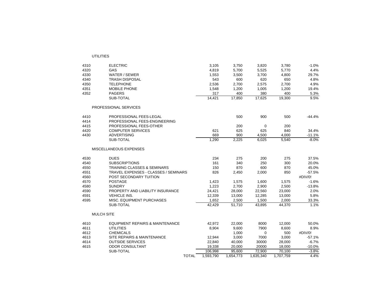| 4310 | <b>ELECTRIC</b>                             | 3,105     | 3,750     | 3,820     | 3,780     | $-1.0%$  |
|------|---------------------------------------------|-----------|-----------|-----------|-----------|----------|
| 4320 | GAS                                         | 4,819     | 5,700     | 5,525     | 5,770     | 4.4%     |
| 4330 | WATER / SEWER                               | 1,553     | 3,500     | 3,700     | 4,800     | 29.7%    |
| 4340 | <b>TRASH DISPOSAL</b>                       | 543       | 600       | 620       | 650       | 4.8%     |
| 4350 | <b>TELEPHONE</b>                            | 2,536     | 2,700     | 2,575     | 2,700     | 4.9%     |
| 4351 | <b>MOBILE PHONE</b>                         | 1,548     | 1,200     | 1,005     | 1,200     | 19.4%    |
| 4352 | <b>PAGERS</b>                               | 317       | 400       | 380       | 400       | 5.3%     |
|      | SUB-TOTAL                                   | 14,421    | 17,850    | 17,625    | 19,300    | 9.5%     |
|      | PROFESSIONAL SERVICES                       |           |           |           |           |          |
| 4410 | PROFESSIONAL FEES-LEGAL                     |           | 500       | 900       | 500       | -44.4%   |
| 4414 | PROFESSIONAL FEES-ENGINEERING               |           |           |           |           |          |
| 4415 | PROFESSIONAL FEES-OTHER                     |           | 200       | 0         | 200       |          |
| 4420 | <b>COMPUTER SERVICES</b>                    | 621       | 625       | 625       | 840       | 34.4%    |
| 4430 | <b>ADVERTISING</b>                          | 669       | 900       | 4,500     | 4,000     | $-11.1%$ |
|      | SUB-TOTAL                                   | 1,290     | 2,225     | 6,025     | 5,540     | $-8.0%$  |
|      | MISCELLANEOUS EXPENSES                      |           |           |           |           |          |
| 4530 | <b>DUES</b>                                 | 234       | 275       | 200       | 275       | 37.5%    |
| 4540 | <b>SUBSCRIPTIONS</b>                        | 161       | 340       | 250       | 300       | 20.0%    |
| 4550 | <b>TRAINING CLASSES &amp; SEMINARS</b>      | 150       | 870       | 600       | 870       | 45.0%    |
| 4551 | <b>TRAVEL EXPENSES - CLASSES / SEMINARS</b> | 826       | 2,450     | 2,000     | 850       | $-57.5%$ |
| 4560 | POST SECONDARY TUITION                      |           |           |           |           | #DIV/0!  |
| 4570 | <b>POSTAGE</b>                              | 1,423     | 1,575     | 1,600     | 1,575     | $-1.6%$  |
| 4580 | <b>SUNDRY</b>                               | 1,223     | 2,700     | 2,900     | 2,500     | $-13.8%$ |
| 4590 | PROPERTY AND LIABILITY INSURANCE            | 24,421    | 28,000    | 22,560    | 23,000    | 2.0%     |
| 4591 | <b>VEHICLE INS.</b>                         | 12,339    | 13,000    | 12,285    | 13,000    | 5.8%     |
| 4595 | MISC. EQUIPMENT PURCHASES                   | 1,652     | 2,500     | 1,500     | 2,000     | 33.3%    |
|      | SUB-TOTAL                                   | 42,429    | 51,710    | 43,895    | 44,370    | 1.1%     |
|      | <b>MULCH SITE</b>                           |           |           |           |           |          |
| 4610 | <b>EQUIPMENT REPAIRS &amp; MAINTENANCE</b>  | 42.972    | 22,000    | 8000      | 12,000    | 50.0%    |
| 4611 | <b>UTILITIES</b>                            | 8,904     | 9,600     | 7900      | 8,600     | 8.9%     |
| 4612 | <b>CHEMICALS</b>                            |           | 1,000     | 0         | 500       | #DIV/0!  |
| 4613 | SITE REPAIRS & MAINTENANCE                  | 12,944    | 3,000     | 7000      | 3,000     | $-57.1%$ |
| 4614 | <b>OUTSIDE SERVICES</b>                     | 22,840    | 40,000    | 30000     | 28,000    | $-6.7%$  |
| 4615 | <b>ODOR CONSULTANT</b>                      | 19,338    | 20,000    | 20000     | 18,000    | $-10.0%$ |
|      | SUB-TOTAL                                   | 106,998   | 95,600    | 72,900    | 70,100    | $-3.8%$  |
|      | <b>TOTAL</b>                                | 1,593,790 | 1,654,773 | 1,635,340 | 1,707,759 | 4.4%     |

UTILITIES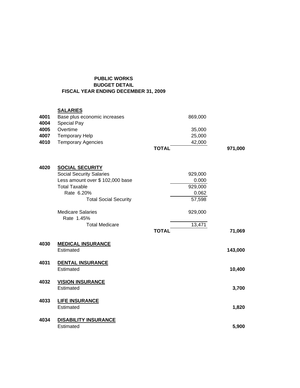## **PUBLIC WORKS BUDGET DETAIL FISCAL YEAR ENDING DECEMBER 31, 2009**

## **SALARIES**

| 4001<br>4004 | Base plus economic increases<br><b>Special Pay</b> | 869,000      |         |
|--------------|----------------------------------------------------|--------------|---------|
| 4005         | Overtime                                           | 35,000       |         |
| 4007         | <b>Temporary Help</b>                              | 25,000       |         |
| 4010         | <b>Temporary Agencies</b>                          | 42,000       |         |
|              |                                                    | <b>TOTAL</b> | 971,000 |
| 4020         | <b>SOCIAL SECURITY</b>                             |              |         |
|              | <b>Social Security Salaries</b>                    | 929,000      |         |
|              | Less amount over \$ 102,000 base                   | 0.000        |         |
|              | <b>Total Taxable</b>                               | 929,000      |         |
|              | Rate 6.20%                                         | 0.062        |         |
|              | <b>Total Social Security</b>                       | 57,598       |         |
|              | <b>Medicare Salaries</b><br>Rate 1.45%             | 929,000      |         |
|              | <b>Total Medicare</b>                              | 13,471       |         |
|              |                                                    | <b>TOTAL</b> | 71,069  |
| 4030         | <b>MEDICAL INSURANCE</b><br>Estimated              |              | 143,000 |
| 4031         | <b>DENTAL INSURANCE</b><br>Estimated               |              | 10,400  |
| 4032         | <b>VISION INSURANCE</b><br>Estimated               |              | 3,700   |
| 4033         | <b>LIFE INSURANCE</b><br>Estimated                 |              | 1,820   |
| 4034         | <b>DISABILITY INSURANCE</b><br>Estimated           |              | 5,900   |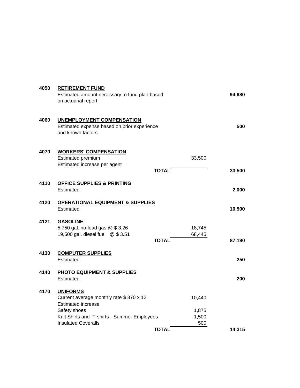| 4050 | <b>RETIREMENT FUND</b>                                           |              |        |        |
|------|------------------------------------------------------------------|--------------|--------|--------|
|      | Estimated amount necessary to fund plan based                    |              |        | 94,680 |
|      | on actuarial report                                              |              |        |        |
| 4060 | <b>UNEMPLOYMENT COMPENSATION</b>                                 |              |        |        |
|      | Estimated expense based on prior experience<br>and known factors |              |        | 500    |
| 4070 | <b>WORKERS' COMPENSATION</b><br>Estimated premium                |              | 33,500 |        |
|      | Estimated increase per agent                                     |              |        |        |
|      |                                                                  | <b>TOTAL</b> |        | 33,500 |
| 4110 | <b>OFFICE SUPPLIES &amp; PRINTING</b>                            |              |        |        |
|      | Estimated                                                        |              |        | 2,000  |
| 4120 | <b>OPERATIONAL EQUIPMENT &amp; SUPPLIES</b>                      |              |        |        |
|      | Estimated                                                        |              |        | 10,500 |
| 4121 | <b>GASOLINE</b>                                                  |              |        |        |
|      | 5,750 gal. no-lead gas @ \$3.26                                  |              | 18,745 |        |
|      | 19,500 gal. diesel fuel @ \$3.51                                 | <b>TOTAL</b> | 68,445 |        |
|      |                                                                  |              |        | 87,190 |
| 4130 | <b>COMPUTER SUPPLIES</b>                                         |              |        |        |
|      | Estimated                                                        |              |        | 250    |
| 4140 | <b>PHOTO EQUIPMENT &amp; SUPPLIES</b>                            |              |        |        |
|      | Estimated                                                        |              |        | 200    |
| 4170 | <b>UNIFORMS</b>                                                  |              |        |        |
|      | Current average monthly rate \$870 x 12                          |              | 10,440 |        |
|      | <b>Estimated increase</b><br>Safety shoes                        |              | 1,875  |        |
|      | Knit Shirts and T-shirts-- Summer Employees                      |              | 1,500  |        |
|      | <b>Insulated Coveralls</b>                                       |              | 500    |        |
|      |                                                                  | <b>TOTAL</b> |        | 14.315 |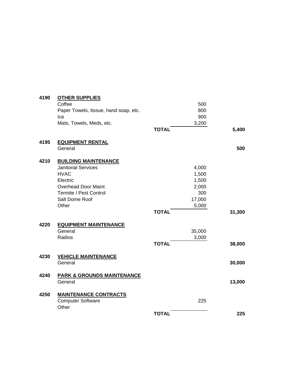| 4190 | <b>OTHER SUPPLIES</b>                 |              |        |        |
|------|---------------------------------------|--------------|--------|--------|
|      | Coffee                                |              | 500    |        |
|      | Paper Towels, tissue, hand soap, etc. |              | 800    |        |
|      | Ice                                   |              | 900    |        |
|      | Mats, Towels, Meds, etc.              |              | 3,200  |        |
|      |                                       | <b>TOTAL</b> |        | 5,400  |
| 4195 | <b>EQUIPMENT RENTAL</b>               |              |        |        |
|      | General                               |              |        | 500    |
| 4210 | <b>BUILDING MAINTENANCE</b>           |              |        |        |
|      | <b>Janitorial Services</b>            |              | 4,000  |        |
|      | <b>HVAC</b>                           |              | 1,500  |        |
|      | Electric                              |              | 1,500  |        |
|      | <b>Overhead Door Maint</b>            |              | 2,000  |        |
|      | Termite / Pest Control                |              | 300    |        |
|      | Salt Dome Roof                        |              | 17,000 |        |
|      | Other                                 |              | 5,000  |        |
|      |                                       | <b>TOTAL</b> |        | 31,300 |
| 4220 | <b>EQUIPMENT MAINTENANCE</b>          |              |        |        |
|      | General                               |              | 35,000 |        |
|      | Radios                                |              | 3,000  |        |
|      |                                       | <b>TOTAL</b> |        | 38,000 |
| 4230 | <b>VEHICLE MAINTENANCE</b>            |              |        |        |
|      | General                               |              |        | 30,000 |
| 4240 | <b>PARK &amp; GROUNDS MAINTENANCE</b> |              |        |        |
|      | General                               |              |        | 13,000 |
| 4250 | <b>MAINTENANCE CONTRACTS</b>          |              |        |        |
|      | <b>Computer Software</b><br>Other     |              | 225    |        |
|      |                                       | <b>TOTAL</b> |        | 225    |
|      |                                       |              |        |        |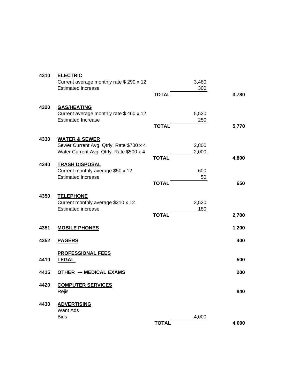| 4310 | <b>ELECTRIC</b>                          |              |       |       |
|------|------------------------------------------|--------------|-------|-------|
|      | Current average monthly rate \$ 290 x 12 |              | 3,480 |       |
|      | <b>Estimated increase</b>                |              | 300   |       |
|      |                                          | <b>TOTAL</b> |       | 3,780 |
| 4320 | <b>GAS/HEATING</b>                       |              |       |       |
|      | Current average monthly rate \$460 x 12  |              | 5,520 |       |
|      | <b>Estimated Increase</b>                |              | 250   |       |
|      |                                          | <b>TOTAL</b> |       | 5,770 |
| 4330 | <b>WATER &amp; SEWER</b>                 |              |       |       |
|      | Sewer Current Avg. Qtrly. Rate \$700 x 4 |              | 2,800 |       |
|      | Water Current Avg. Qtrly. Rate \$500 x 4 |              | 2,000 |       |
|      |                                          | <b>TOTAL</b> |       | 4,800 |
| 4340 | <b>TRASH DISPOSAL</b>                    |              |       |       |
|      | Current monthly average \$50 x 12        |              | 600   |       |
|      | <b>Estimated increase</b>                | <b>TOTAL</b> | 50    | 650   |
|      |                                          |              |       |       |
| 4350 | <b>TELEPHONE</b>                         |              |       |       |
|      | Current monthly average \$210 x 12       |              | 2,520 |       |
|      | <b>Estimated increase</b>                |              | 180   |       |
|      |                                          | <b>TOTAL</b> |       | 2,700 |
| 4351 | <b>MOBILE PHONES</b>                     |              |       | 1,200 |
| 4352 | <b>PAGERS</b>                            |              |       | 400   |
|      | <b>PROFESSIONAL FEES</b>                 |              |       |       |
| 4410 | <b>LEGAL</b>                             |              |       | 500   |
|      |                                          |              |       |       |
| 4415 | <b>OTHER --- MEDICAL EXAMS</b>           |              |       | 200   |
| 4420 | <b>COMPUTER SERVICES</b>                 |              |       |       |
|      | Rejis                                    |              |       | 840   |
| 4430 | <b>ADVERTISING</b>                       |              |       |       |
|      | Want Ads                                 |              |       |       |
|      | <b>Bids</b>                              |              | 4,000 |       |
|      |                                          | <b>TOTAL</b> |       | 4,000 |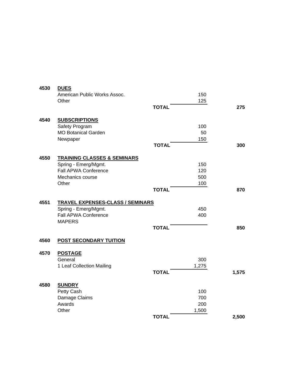| 4530 | <b>DUES</b>                                  |              |       |       |
|------|----------------------------------------------|--------------|-------|-------|
|      | American Public Works Assoc.                 |              | 150   |       |
|      | Other                                        |              | 125   |       |
|      |                                              | <b>TOTAL</b> |       | 275   |
| 4540 | <b>SUBSCRIPTIONS</b>                         |              |       |       |
|      | Safety Program                               |              | 100   |       |
|      | <b>MO Botanical Garden</b>                   |              | 50    |       |
|      | Newpaper                                     |              | 150   |       |
|      |                                              | <b>TOTAL</b> |       | 300   |
| 4550 | <b>TRAINING CLASSES &amp; SEMINARS</b>       |              |       |       |
|      | Spring - Emerg/Mgmt.                         |              | 150   |       |
|      | Fall APWA Conference                         |              | 120   |       |
|      | Mechanics course                             |              | 500   |       |
|      | Other                                        |              | 100   |       |
|      |                                              | <b>TOTAL</b> |       | 870   |
| 4551 | <b>TRAVEL EXPENSES-CLASS / SEMINARS</b>      |              |       |       |
|      | Spring - Emerg/Mgmt.<br>Fall APWA Conference |              | 450   |       |
|      |                                              |              | 400   |       |
|      | <b>MAPERS</b>                                | <b>TOTAL</b> |       | 850   |
|      |                                              |              |       |       |
| 4560 | <b>POST SECONDARY TUITION</b>                |              |       |       |
| 4570 | <b>POSTAGE</b>                               |              |       |       |
|      | General                                      |              | 300   |       |
|      | 1 Leaf Collection Mailing                    |              | 1,275 |       |
|      |                                              | <b>TOTAL</b> |       | 1,575 |
| 4580 | <b>SUNDRY</b>                                |              |       |       |
|      | Petty Cash                                   |              | 100   |       |
|      | Damage Claims                                |              | 700   |       |
|      | Awards                                       |              | 200   |       |
|      | Other                                        |              | 1,500 |       |
|      |                                              | <b>TOTAL</b> |       | 2,500 |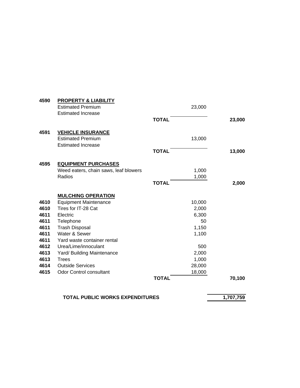| 4590                                                                                         | <b>PROPERTY &amp; LIABILITY</b><br><b>Estimated Premium</b><br><b>Estimated Increase</b>                                                                                                                                                                                                                              | 23,000<br><b>TOTAL</b>                                                                                        | 23,000 |
|----------------------------------------------------------------------------------------------|-----------------------------------------------------------------------------------------------------------------------------------------------------------------------------------------------------------------------------------------------------------------------------------------------------------------------|---------------------------------------------------------------------------------------------------------------|--------|
| 4591                                                                                         | <b>VEHICLE INSURANCE</b><br><b>Estimated Premium</b><br><b>Estimated Increase</b>                                                                                                                                                                                                                                     | 13,000<br><b>TOTAL</b>                                                                                        | 13,000 |
| 4595                                                                                         | <b>EQUIPMENT PURCHASES</b><br>Weed eaters, chain saws, leaf blowers<br>Radios                                                                                                                                                                                                                                         | 1,000<br>1,000<br><b>TOTAL</b>                                                                                | 2,000  |
| 4610<br>4610<br>4611<br>4611<br>4611<br>4611<br>4611<br>4612<br>4613<br>4613<br>4614<br>4615 | <b>MULCHING OPERATION</b><br><b>Equipment Maintenance</b><br>Tires for IT-28 Cat<br>Electric<br>Telephone<br><b>Trash Disposal</b><br>Water & Sewer<br>Yard waste container rental<br>Urea/Lime/innoculant<br>Yard/ Building Maintenance<br><b>Trees</b><br><b>Outside Services</b><br><b>Odor Control consultant</b> | 10,000<br>2,000<br>6,300<br>50<br>1,150<br>1,100<br>500<br>2,000<br>1,000<br>28,000<br>18,000<br><b>TOTAL</b> | 70,100 |
|                                                                                              |                                                                                                                                                                                                                                                                                                                       |                                                                                                               |        |

## **TOTAL PUBLIC WORKS EXPENDITURES** 1,707,759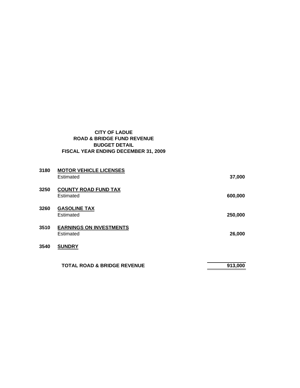## **CITY OF LADUE ROAD & BRIDGE FUND REVENUE BUDGET DETAIL FISCAL YEAR ENDING DECEMBER 31, 2009**

| 3180 | <b>MOTOR VEHICLE LICENSES</b><br>Estimated  | 37,000  |
|------|---------------------------------------------|---------|
| 3250 | <b>COUNTY ROAD FUND TAX</b><br>Estimated    | 600,000 |
| 3260 | <b>GASOLINE TAX</b><br>Estimated            | 250,000 |
| 3510 | <b>EARNINGS ON INVESTMENTS</b><br>Estimated | 26,000  |
| 3540 | <b>SUNDRY</b>                               |         |
|      | <b>TOTAL ROAD &amp; BRIDGE REVENUE</b>      | 913,000 |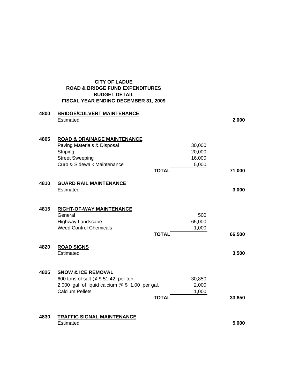|      | <b>CITY OF LADUE</b><br><b>ROAD &amp; BRIDGE FUND EXPENDITURES</b><br><b>BUDGET DETAIL</b><br>FISCAL YEAR ENDING DECEMBER 31, 2009                  |                                                     |        |
|------|-----------------------------------------------------------------------------------------------------------------------------------------------------|-----------------------------------------------------|--------|
| 4800 | <b>BRIDGE/CULVERT MAINTENANCE</b><br>Estimated                                                                                                      |                                                     | 2,000  |
| 4805 | <b>ROAD &amp; DRAINAGE MAINTENANCE</b><br>Paving Materials & Disposal<br>Striping<br><b>Street Sweeping</b><br>Curb & Sidewalk Maintenance          | 30,000<br>20,000<br>16,000<br>5,000<br><b>TOTAL</b> | 71,000 |
| 4810 | <b>GUARD RAIL MAINTENANCE</b><br>Estimated                                                                                                          |                                                     | 3,000  |
| 4815 | <b>RIGHT-OF-WAY MAINTENANCE</b><br>General<br>Highway Landscape<br><b>Weed Control Chemicals</b>                                                    | 500<br>65,000<br>1,000<br><b>TOTAL</b>              | 66,500 |
| 4820 | <b>ROAD SIGNS</b><br>Estimated                                                                                                                      |                                                     | 3,500  |
| 4825 | <b>SNOW &amp; ICE REMOVAL</b><br>600 tons of salt @ \$ 51.42 per ton<br>2,000 gal. of liquid calcium $@$ \$ 1.00 per gal.<br><b>Calcium Pellets</b> | 30,850<br>2,000<br>1,000<br><b>TOTAL</b>            | 33,850 |
| 4830 | <b>TRAFFIC SIGNAL MAINTENANCE</b><br>Estimated                                                                                                      |                                                     | 5,000  |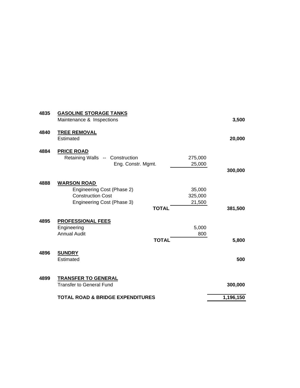| 4835 | <b>GASOLINE STORAGE TANKS</b><br>Maintenance & Inspections                                                                 |                             | 3,500     |
|------|----------------------------------------------------------------------------------------------------------------------------|-----------------------------|-----------|
| 4840 | <b>TREE REMOVAL</b><br>Estimated                                                                                           |                             | 20,000    |
| 4884 | <b>PRICE ROAD</b><br>Retaining Walls -- Construction<br>Eng. Constr. Mgmt.                                                 | 275,000<br>25,000           | 300,000   |
| 4888 | <b>WARSON ROAD</b><br>Engineering Cost (Phase 2)<br><b>Construction Cost</b><br>Engineering Cost (Phase 3)<br><b>TOTAL</b> | 35,000<br>325,000<br>21,500 | 381,500   |
| 4895 | <b>PROFESSIONAL FEES</b><br>Engineering<br><b>Annual Audit</b><br><b>TOTAL</b>                                             | 5,000<br>800                | 5,800     |
| 4896 | <b>SUNDRY</b><br>Estimated                                                                                                 |                             | 500       |
| 4899 | <b>TRANSFER TO GENERAL</b><br><b>Transfer to General Fund</b>                                                              |                             | 300,000   |
|      | <b>TOTAL ROAD &amp; BRIDGE EXPENDITURES</b>                                                                                |                             | 1,196,150 |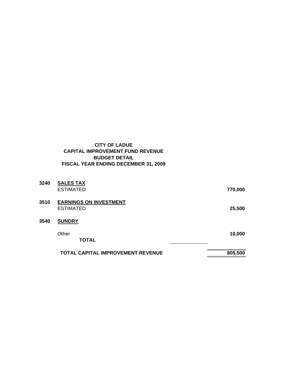## **CITY OF LADUE CAPITAL IMPROVEMENT FUND REVENUE BUDGET DETAIL FISCAL YEAR ENDING DECEMBER 31, 2009**

| 3240 | <b>SALES TAX</b>                                  |         |
|------|---------------------------------------------------|---------|
|      | <b>ESTIMATED</b>                                  | 770,000 |
| 3510 | <b>EARNINGS ON INVESTMENT</b><br><b>ESTIMATED</b> | 25,500  |
| 3540 | <b>SUNDRY</b>                                     |         |
|      | Other<br><b>TOTAL</b>                             | 10,000  |
|      | <b>TOTAL CAPITAL IMPROVEMENT REVENUE</b>          | 805,500 |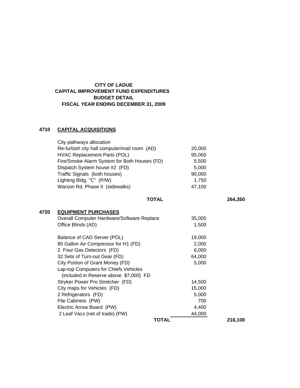## **CITY OF LADUE CAPITAL IMPROVEMENT FUND EXPENDITURES BUDGET DETAIL FISCAL YEAR ENDING DECEMBER 31, 2009**

## **4710 CAPITAL ACQUISITIONS**

| City pathways allocation                     |        |
|----------------------------------------------|--------|
| Re-furbish city hall computer/mail room (AD) | 20,000 |
| <b>HVAC Replacement Parts (POL)</b>          | 95,000 |
| Fire/Smoke Alarm System for Both Houses (FD) | 5,500  |
| Dispatch System house #2 (FD)                | 5.000  |
| Traffic Signals (both houses)                | 90,000 |
| Lighting Bldg. "C" (P/W)                     | 1.750  |
| Warson Rd. Phase II (sidewalks)              | 47.100 |
|                                              |        |

 **TOTAL 264,350**

### **4720 EQUIPMENT PURCHASES**

| TOTAL                                      |        | 216,100 |
|--------------------------------------------|--------|---------|
| 2 Leaf Vacs (net of trade) (PW)            | 44,000 |         |
| Electric Arrow Board (PW)                  | 4,400  |         |
| File Cabinets (PW)                         | 700    |         |
| 2 Refrigerators (FD)                       | 5,000  |         |
| City maps for Vehicles (FD)                | 15,000 |         |
| Stryker Power Pro Stretcher (FD)           | 14,500 |         |
| (included in Reserve above \$7,000) FD     |        |         |
| Lap-top Computers for Chiefs Vehicles      |        |         |
| City Portion of Grant Money (FD)           | 5,000  |         |
| 32 Sets of Turn-out Gear (FD)              | 64,000 |         |
| 2 Four Gas Detectors (FD)                  | 6,000  |         |
| 80 Gallon Air Compressor for H1 (FD)       | 2,000  |         |
| Balance of CAD Server (POL)                | 19,000 |         |
| Office Blinds (AD)                         | 1,500  |         |
| Overall Computer Hardware/Software Replace | 35,000 |         |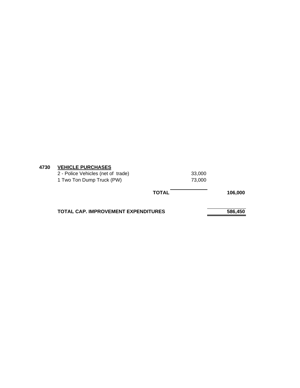| 4730 | <b>VEHICLE PURCHASES</b> |
|------|--------------------------|
|------|--------------------------|

|                                    | <b>TOTAL</b> | 106,000 |
|------------------------------------|--------------|---------|
| 2 - Police Vehicles (net of trade) | 33,000       |         |
| 1 Two Ton Dump Truck (PW)          | 73.000       |         |

TOTAL CAP. IMPROVEMENT EXPENDITURES 586,450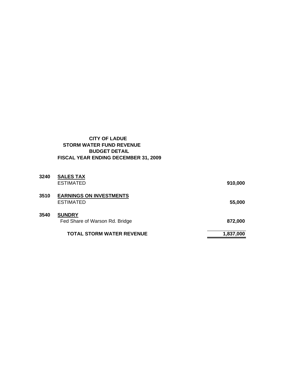## **CITY OF LADUE STORM WATER FUND REVENUE BUDGET DETAIL FISCAL YEAR ENDING DECEMBER 31, 2009**

| 3240 | <b>SALES TAX</b><br>ESTIMATED                      | 910,000   |
|------|----------------------------------------------------|-----------|
| 3510 | <b>EARNINGS ON INVESTMENTS</b><br><b>ESTIMATED</b> | 55,000    |
| 3540 | <b>SUNDRY</b><br>Fed Share of Warson Rd. Bridge    | 872,000   |
|      | <b>TOTAL STORM WATER REVENUE</b>                   | 1,837,000 |